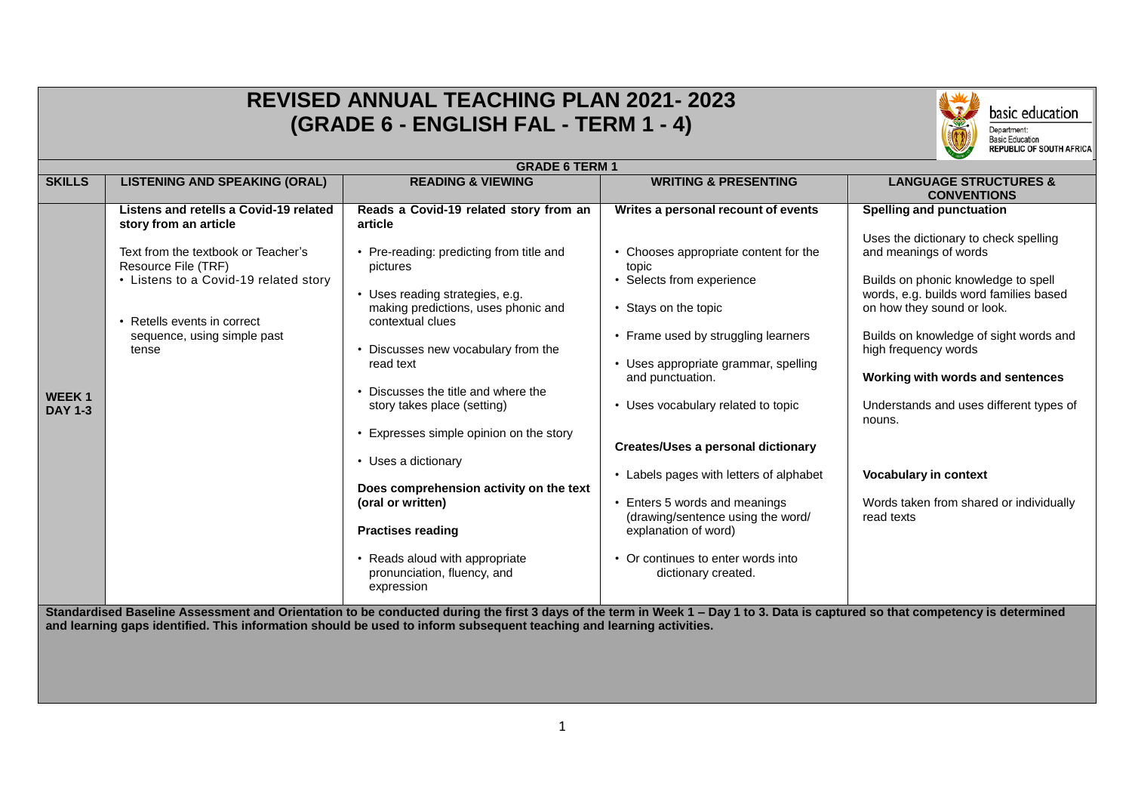|                                | <b>REVISED ANNUAL TEACHING PLAN 2021-2023</b><br>basic education<br>(GRADE 6 - ENGLISH FAL - TERM 1 - 4)<br>Department:<br><b>Basic Education</b><br><b>REPUBLIC OF SOUTH AFRICA</b>                                                          |                                                                                                                                                                                                                                                                                                                                                                                                                                                                                                                                                                      |                                                                                                                                                                                                                                                                                                                                                                                                                                                                                                                                        |                                                                                                                                                                                                                                                                                                                                                                                                                                                               |  |
|--------------------------------|-----------------------------------------------------------------------------------------------------------------------------------------------------------------------------------------------------------------------------------------------|----------------------------------------------------------------------------------------------------------------------------------------------------------------------------------------------------------------------------------------------------------------------------------------------------------------------------------------------------------------------------------------------------------------------------------------------------------------------------------------------------------------------------------------------------------------------|----------------------------------------------------------------------------------------------------------------------------------------------------------------------------------------------------------------------------------------------------------------------------------------------------------------------------------------------------------------------------------------------------------------------------------------------------------------------------------------------------------------------------------------|---------------------------------------------------------------------------------------------------------------------------------------------------------------------------------------------------------------------------------------------------------------------------------------------------------------------------------------------------------------------------------------------------------------------------------------------------------------|--|
|                                |                                                                                                                                                                                                                                               | <b>GRADE 6 TERM 1</b>                                                                                                                                                                                                                                                                                                                                                                                                                                                                                                                                                |                                                                                                                                                                                                                                                                                                                                                                                                                                                                                                                                        |                                                                                                                                                                                                                                                                                                                                                                                                                                                               |  |
| <b>SKILLS</b>                  | <b>LISTENING AND SPEAKING (ORAL)</b>                                                                                                                                                                                                          | <b>READING &amp; VIEWING</b>                                                                                                                                                                                                                                                                                                                                                                                                                                                                                                                                         | <b>WRITING &amp; PRESENTING</b>                                                                                                                                                                                                                                                                                                                                                                                                                                                                                                        | <b>LANGUAGE STRUCTURES &amp;</b><br><b>CONVENTIONS</b>                                                                                                                                                                                                                                                                                                                                                                                                        |  |
| <b>WEEK1</b><br><b>DAY 1-3</b> | Listens and retells a Covid-19 related<br>story from an article<br>Text from the textbook or Teacher's<br>Resource File (TRF)<br>• Listens to a Covid-19 related story<br>• Retells events in correct<br>sequence, using simple past<br>tense | Reads a Covid-19 related story from an<br>article<br>Pre-reading: predicting from title and<br>pictures<br>• Uses reading strategies, e.g.<br>making predictions, uses phonic and<br>contextual clues<br>Discusses new vocabulary from the<br>read text<br>Discusses the title and where the<br>story takes place (setting)<br>Expresses simple opinion on the story<br>• Uses a dictionary<br>Does comprehension activity on the text<br>(oral or written)<br><b>Practises reading</b><br>Reads aloud with appropriate<br>pronunciation, fluency, and<br>expression | Writes a personal recount of events<br>• Chooses appropriate content for the<br>topic<br>• Selects from experience<br>• Stays on the topic<br>• Frame used by struggling learners<br>• Uses appropriate grammar, spelling<br>and punctuation.<br>• Uses vocabulary related to topic<br><b>Creates/Uses a personal dictionary</b><br>• Labels pages with letters of alphabet<br>• Enters 5 words and meanings<br>(drawing/sentence using the word/<br>explanation of word)<br>• Or continues to enter words into<br>dictionary created. | <b>Spelling and punctuation</b><br>Uses the dictionary to check spelling<br>and meanings of words<br>Builds on phonic knowledge to spell<br>words, e.g. builds word families based<br>on how they sound or look.<br>Builds on knowledge of sight words and<br>high frequency words<br>Working with words and sentences<br>Understands and uses different types of<br>nouns.<br>Vocabulary in context<br>Words taken from shared or individually<br>read texts |  |
|                                |                                                                                                                                                                                                                                               | Standardised Baseline Assessment and Orientation to be conducted during the first 3 days of the term in Week 1 - Day 1 to 3. Data is captured so that competency is determined<br>and learning gaps identified. This information should be used to inform subsequent teaching and learning activities.                                                                                                                                                                                                                                                               |                                                                                                                                                                                                                                                                                                                                                                                                                                                                                                                                        |                                                                                                                                                                                                                                                                                                                                                                                                                                                               |  |

٦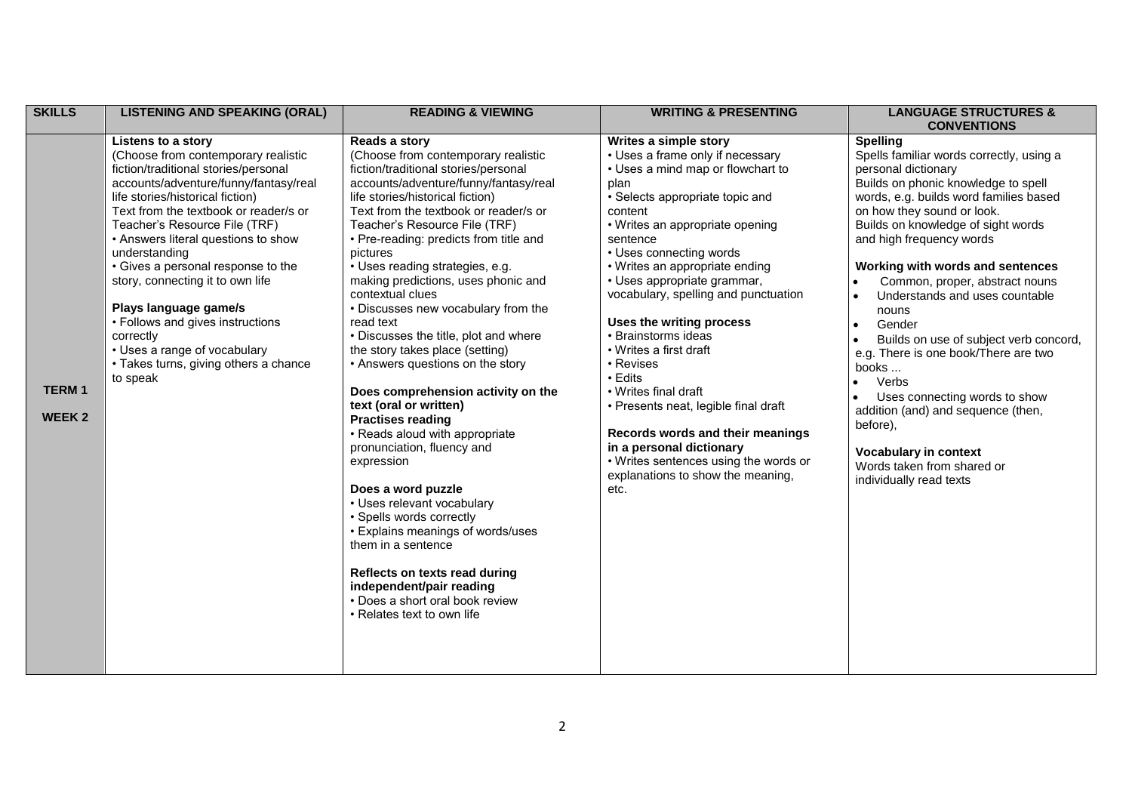| <b>SKILLS</b>                 | <b>LISTENING AND SPEAKING (ORAL)</b>                                                                                                                                                                                                                                                                                                                                                                                                                                                                                                                      | <b>READING &amp; VIEWING</b>                                                                                                                                                                                                                                                                                                                                                                                                                                                                                                                                                                                                                                                                                                                                                                                                                                                                                                                                                                                                   | <b>WRITING &amp; PRESENTING</b>                                                                                                                                                                                                                                                                                                                                                                                                                                                                                                                                                                                                                                    | <b>LANGUAGE STRUCTURES &amp;</b><br><b>CONVENTIONS</b>                                                                                                                                                                                                                                                                                                                                                                                                                                                                                                                                                                                                                                                                |
|-------------------------------|-----------------------------------------------------------------------------------------------------------------------------------------------------------------------------------------------------------------------------------------------------------------------------------------------------------------------------------------------------------------------------------------------------------------------------------------------------------------------------------------------------------------------------------------------------------|--------------------------------------------------------------------------------------------------------------------------------------------------------------------------------------------------------------------------------------------------------------------------------------------------------------------------------------------------------------------------------------------------------------------------------------------------------------------------------------------------------------------------------------------------------------------------------------------------------------------------------------------------------------------------------------------------------------------------------------------------------------------------------------------------------------------------------------------------------------------------------------------------------------------------------------------------------------------------------------------------------------------------------|--------------------------------------------------------------------------------------------------------------------------------------------------------------------------------------------------------------------------------------------------------------------------------------------------------------------------------------------------------------------------------------------------------------------------------------------------------------------------------------------------------------------------------------------------------------------------------------------------------------------------------------------------------------------|-----------------------------------------------------------------------------------------------------------------------------------------------------------------------------------------------------------------------------------------------------------------------------------------------------------------------------------------------------------------------------------------------------------------------------------------------------------------------------------------------------------------------------------------------------------------------------------------------------------------------------------------------------------------------------------------------------------------------|
| <b>TERM1</b><br><b>WEEK 2</b> | Listens to a story<br>(Choose from contemporary realistic<br>fiction/traditional stories/personal<br>accounts/adventure/funny/fantasy/real<br>life stories/historical fiction)<br>Text from the textbook or reader/s or<br>Teacher's Resource File (TRF)<br>• Answers literal questions to show<br>understanding<br>• Gives a personal response to the<br>story, connecting it to own life<br>Plays language game/s<br>• Follows and gives instructions<br>correctly<br>• Uses a range of vocabulary<br>• Takes turns, giving others a chance<br>to speak | Reads a story<br>(Choose from contemporary realistic<br>fiction/traditional stories/personal<br>accounts/adventure/funny/fantasy/real<br>life stories/historical fiction)<br>Text from the textbook or reader/s or<br>Teacher's Resource File (TRF)<br>• Pre-reading: predicts from title and<br>pictures<br>· Uses reading strategies, e.g.<br>making predictions, uses phonic and<br>contextual clues<br>• Discusses new vocabulary from the<br>read text<br>• Discusses the title, plot and where<br>the story takes place (setting)<br>• Answers questions on the story<br>Does comprehension activity on the<br>text (oral or written)<br><b>Practises reading</b><br>• Reads aloud with appropriate<br>pronunciation, fluency and<br>expression<br>Does a word puzzle<br>• Uses relevant vocabulary<br>• Spells words correctly<br>• Explains meanings of words/uses<br>them in a sentence<br>Reflects on texts read during<br>independent/pair reading<br>• Does a short oral book review<br>• Relates text to own life | Writes a simple story<br>• Uses a frame only if necessary<br>• Uses a mind map or flowchart to<br>plan<br>· Selects appropriate topic and<br>content<br>• Writes an appropriate opening<br>sentence<br>• Uses connecting words<br>• Writes an appropriate ending<br>• Uses appropriate grammar,<br>vocabulary, spelling and punctuation<br>Uses the writing process<br>• Brainstorms ideas<br>• Writes a first draft<br>• Revises<br>• Edits<br>• Writes final draft<br>• Presents neat, legible final draft<br>Records words and their meanings<br>in a personal dictionary<br>• Writes sentences using the words or<br>explanations to show the meaning,<br>etc. | <b>Spelling</b><br>Spells familiar words correctly, using a<br>personal dictionary<br>Builds on phonic knowledge to spell<br>words, e.g. builds word families based<br>on how they sound or look.<br>Builds on knowledge of sight words<br>and high frequency words<br>Working with words and sentences<br>Common, proper, abstract nouns<br>$\bullet$<br>Understands and uses countable<br>$\bullet$<br>nouns<br>Gender<br>$\bullet$<br>Builds on use of subject verb concord,<br>e.g. There is one book/There are two<br>books<br>Verbs<br>Uses connecting words to show<br>addition (and) and sequence (then,<br>before),<br><b>Vocabulary in context</b><br>Words taken from shared or<br>individually read texts |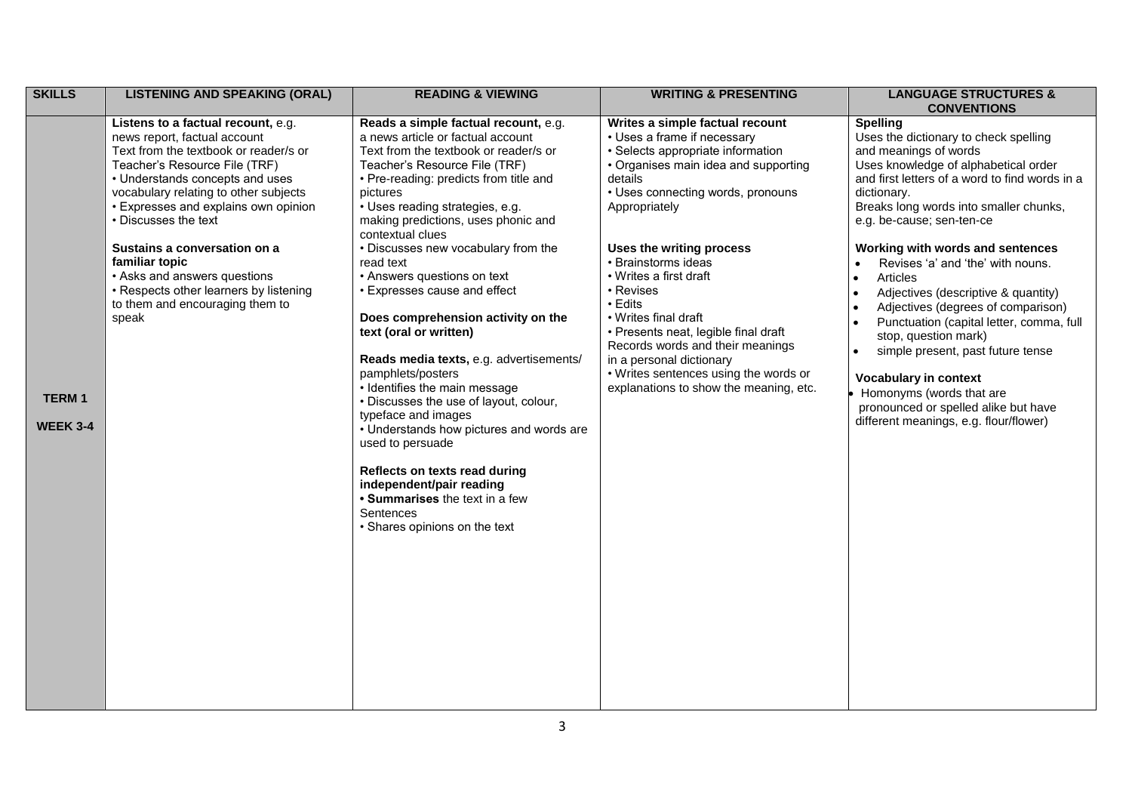| <b>SKILLS</b>                   | <b>LISTENING AND SPEAKING (ORAL)</b>                                                                                                                                                                                                                                                                                                                                                                                                                             | <b>READING &amp; VIEWING</b>                                                                                                                                                                                                                                                                                                                                                                                                                                                                                                                                                                                                                                                                                                                                                                                                                                              | <b>WRITING &amp; PRESENTING</b>                                                                                                                                                                                                                                                                                                                                                                                                                                                                                                      | <b>LANGUAGE STRUCTURES &amp;</b><br><b>CONVENTIONS</b>                                                                                                                                                                                                                                                                                                                                                                                                                                                                                                                                                                                                                                                               |
|---------------------------------|------------------------------------------------------------------------------------------------------------------------------------------------------------------------------------------------------------------------------------------------------------------------------------------------------------------------------------------------------------------------------------------------------------------------------------------------------------------|---------------------------------------------------------------------------------------------------------------------------------------------------------------------------------------------------------------------------------------------------------------------------------------------------------------------------------------------------------------------------------------------------------------------------------------------------------------------------------------------------------------------------------------------------------------------------------------------------------------------------------------------------------------------------------------------------------------------------------------------------------------------------------------------------------------------------------------------------------------------------|--------------------------------------------------------------------------------------------------------------------------------------------------------------------------------------------------------------------------------------------------------------------------------------------------------------------------------------------------------------------------------------------------------------------------------------------------------------------------------------------------------------------------------------|----------------------------------------------------------------------------------------------------------------------------------------------------------------------------------------------------------------------------------------------------------------------------------------------------------------------------------------------------------------------------------------------------------------------------------------------------------------------------------------------------------------------------------------------------------------------------------------------------------------------------------------------------------------------------------------------------------------------|
| <b>TERM1</b><br><b>WEEK 3-4</b> | Listens to a factual recount, e.g.<br>news report, factual account<br>Text from the textbook or reader/s or<br>Teacher's Resource File (TRF)<br>• Understands concepts and uses<br>vocabulary relating to other subjects<br>• Expresses and explains own opinion<br>• Discusses the text<br>Sustains a conversation on a<br>familiar topic<br>• Asks and answers questions<br>• Respects other learners by listening<br>to them and encouraging them to<br>speak | Reads a simple factual recount, e.g.<br>a news article or factual account<br>Text from the textbook or reader/s or<br>Teacher's Resource File (TRF)<br>• Pre-reading: predicts from title and<br>pictures<br>· Uses reading strategies, e.g.<br>making predictions, uses phonic and<br>contextual clues<br>• Discusses new vocabulary from the<br>read text<br>• Answers questions on text<br>• Expresses cause and effect<br>Does comprehension activity on the<br>text (oral or written)<br>Reads media texts, e.g. advertisements/<br>pamphlets/posters<br>• Identifies the main message<br>• Discusses the use of layout, colour,<br>typeface and images<br>• Understands how pictures and words are<br>used to persuade<br>Reflects on texts read during<br>independent/pair reading<br>• Summarises the text in a few<br>Sentences<br>• Shares opinions on the text | Writes a simple factual recount<br>• Uses a frame if necessary<br>· Selects appropriate information<br>• Organises main idea and supporting<br>details<br>• Uses connecting words, pronouns<br>Appropriately<br>Uses the writing process<br>• Brainstorms ideas<br>• Writes a first draft<br>• Revises<br>• Edits<br>• Writes final draft<br>• Presents neat, legible final draft<br>Records words and their meanings<br>in a personal dictionary<br>• Writes sentences using the words or<br>explanations to show the meaning, etc. | <b>Spelling</b><br>Uses the dictionary to check spelling<br>and meanings of words<br>Uses knowledge of alphabetical order<br>and first letters of a word to find words in a<br>dictionary.<br>Breaks long words into smaller chunks,<br>e.g. be-cause; sen-ten-ce<br>Working with words and sentences<br>Revises 'a' and 'the' with nouns.<br>$\bullet$<br>Articles<br>Adjectives (descriptive & quantity)<br>Adjectives (degrees of comparison)<br>Punctuation (capital letter, comma, full<br>stop, question mark)<br>simple present, past future tense<br>$\bullet$<br><b>Vocabulary in context</b><br>Homonyms (words that are<br>pronounced or spelled alike but have<br>different meanings, e.g. flour/flower) |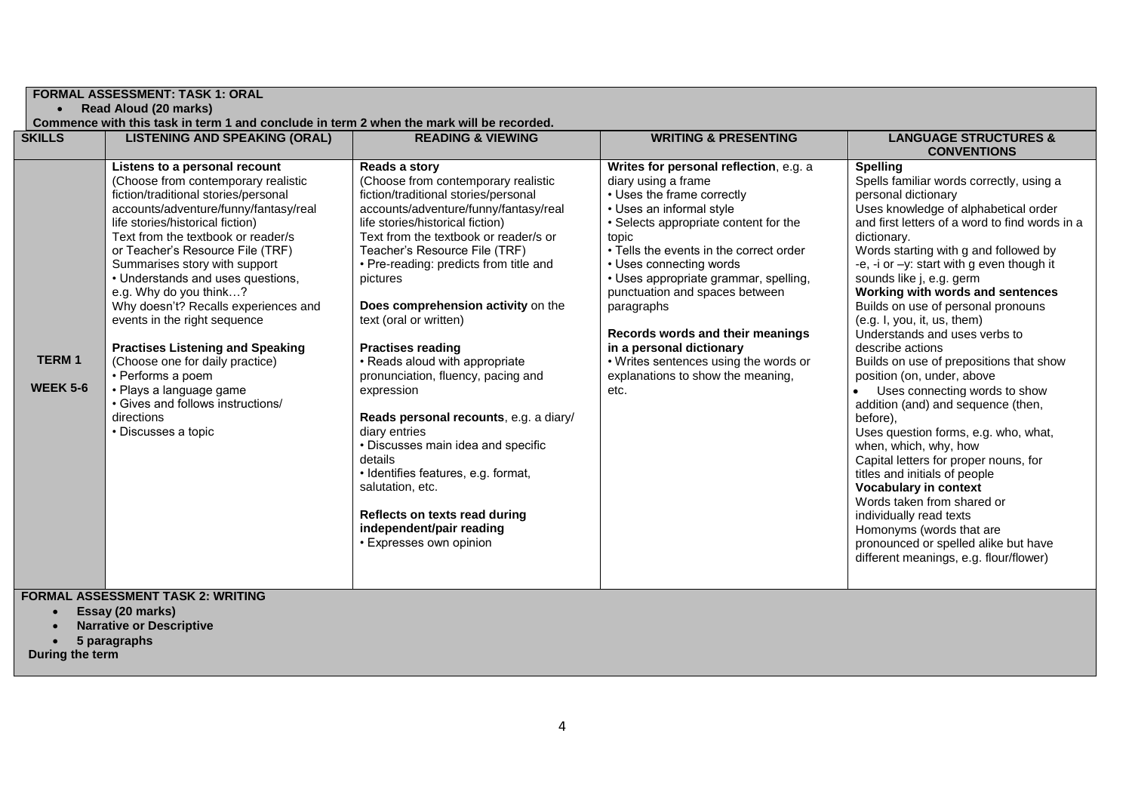| <b>FORMAL ASSESSMENT: TASK 1: ORAL</b><br>• Read Aloud (20 marks)<br>Commence with this task in term 1 and conclude in term 2 when the mark will be recorded. |                                                                                                                                                                                                                                                                                                                                                                                                                                                                                                                                                                                                                                                     |                                                                                                                                                                                                                                                                                                                                                                                                                                                                                                                                                                                                                                                                                                                                                            |                                                                                                                                                                                                                                                                                                                                                                                                                                                                                                |                                                                                                                                                                                                                                                                                                                                                                                                                                                                                                                                                                                                                                                                                                                                                                                                                                                                                                                                                                                                |  |
|---------------------------------------------------------------------------------------------------------------------------------------------------------------|-----------------------------------------------------------------------------------------------------------------------------------------------------------------------------------------------------------------------------------------------------------------------------------------------------------------------------------------------------------------------------------------------------------------------------------------------------------------------------------------------------------------------------------------------------------------------------------------------------------------------------------------------------|------------------------------------------------------------------------------------------------------------------------------------------------------------------------------------------------------------------------------------------------------------------------------------------------------------------------------------------------------------------------------------------------------------------------------------------------------------------------------------------------------------------------------------------------------------------------------------------------------------------------------------------------------------------------------------------------------------------------------------------------------------|------------------------------------------------------------------------------------------------------------------------------------------------------------------------------------------------------------------------------------------------------------------------------------------------------------------------------------------------------------------------------------------------------------------------------------------------------------------------------------------------|------------------------------------------------------------------------------------------------------------------------------------------------------------------------------------------------------------------------------------------------------------------------------------------------------------------------------------------------------------------------------------------------------------------------------------------------------------------------------------------------------------------------------------------------------------------------------------------------------------------------------------------------------------------------------------------------------------------------------------------------------------------------------------------------------------------------------------------------------------------------------------------------------------------------------------------------------------------------------------------------|--|
| <b>SKILLS</b>                                                                                                                                                 | <b>LISTENING AND SPEAKING (ORAL)</b>                                                                                                                                                                                                                                                                                                                                                                                                                                                                                                                                                                                                                | <b>READING &amp; VIEWING</b>                                                                                                                                                                                                                                                                                                                                                                                                                                                                                                                                                                                                                                                                                                                               | <b>WRITING &amp; PRESENTING</b>                                                                                                                                                                                                                                                                                                                                                                                                                                                                | <b>LANGUAGE STRUCTURES &amp;</b><br><b>CONVENTIONS</b>                                                                                                                                                                                                                                                                                                                                                                                                                                                                                                                                                                                                                                                                                                                                                                                                                                                                                                                                         |  |
| <b>TERM1</b><br><b>WEEK 5-6</b>                                                                                                                               | Listens to a personal recount<br>(Choose from contemporary realistic<br>fiction/traditional stories/personal<br>accounts/adventure/funny/fantasy/real<br>life stories/historical fiction)<br>Text from the textbook or reader/s<br>or Teacher's Resource File (TRF)<br>Summarises story with support<br>• Understands and uses questions,<br>e.g. Why do you think?<br>Why doesn't? Recalls experiences and<br>events in the right sequence<br><b>Practises Listening and Speaking</b><br>(Choose one for daily practice)<br>• Performs a poem<br>• Plays a language game<br>• Gives and follows instructions/<br>directions<br>• Discusses a topic | Reads a story<br>(Choose from contemporary realistic<br>fiction/traditional stories/personal<br>accounts/adventure/funny/fantasy/real<br>life stories/historical fiction)<br>Text from the textbook or reader/s or<br>Teacher's Resource File (TRF)<br>• Pre-reading: predicts from title and<br>pictures<br>Does comprehension activity on the<br>text (oral or written)<br><b>Practises reading</b><br>• Reads aloud with appropriate<br>pronunciation, fluency, pacing and<br>expression<br>Reads personal recounts, e.g. a diary/<br>diary entries<br>• Discusses main idea and specific<br>details<br>· Identifies features, e.g. format,<br>salutation, etc.<br>Reflects on texts read during<br>independent/pair reading<br>• Expresses own opinion | Writes for personal reflection, e.g. a<br>diary using a frame<br>• Uses the frame correctly<br>• Uses an informal style<br>• Selects appropriate content for the<br>topic<br>• Tells the events in the correct order<br>• Uses connecting words<br>• Uses appropriate grammar, spelling,<br>punctuation and spaces between<br>paragraphs<br>Records words and their meanings<br>in a personal dictionary<br>• Writes sentences using the words or<br>explanations to show the meaning,<br>etc. | <b>Spelling</b><br>Spells familiar words correctly, using a<br>personal dictionary<br>Uses knowledge of alphabetical order<br>and first letters of a word to find words in a<br>dictionary.<br>Words starting with g and followed by<br>-e, -i or $-y$ : start with g even though it<br>sounds like j, e.g. germ<br>Working with words and sentences<br>Builds on use of personal pronouns<br>(e.g. I, you, it, us, them)<br>Understands and uses verbs to<br>describe actions<br>Builds on use of prepositions that show<br>position (on, under, above<br>• Uses connecting words to show<br>addition (and) and sequence (then,<br>before),<br>Uses question forms, e.g. who, what,<br>when, which, why, how<br>Capital letters for proper nouns, for<br>titles and initials of people<br><b>Vocabulary in context</b><br>Words taken from shared or<br>individually read texts<br>Homonyms (words that are<br>pronounced or spelled alike but have<br>different meanings, e.g. flour/flower) |  |
|                                                                                                                                                               | <b>FORMAL ASSESSMENT TASK 2: WRITING</b>                                                                                                                                                                                                                                                                                                                                                                                                                                                                                                                                                                                                            |                                                                                                                                                                                                                                                                                                                                                                                                                                                                                                                                                                                                                                                                                                                                                            |                                                                                                                                                                                                                                                                                                                                                                                                                                                                                                |                                                                                                                                                                                                                                                                                                                                                                                                                                                                                                                                                                                                                                                                                                                                                                                                                                                                                                                                                                                                |  |

- **Essay (20 marks)**
- **Narrative or Descriptive**
- **5 paragraphs**

**During the term**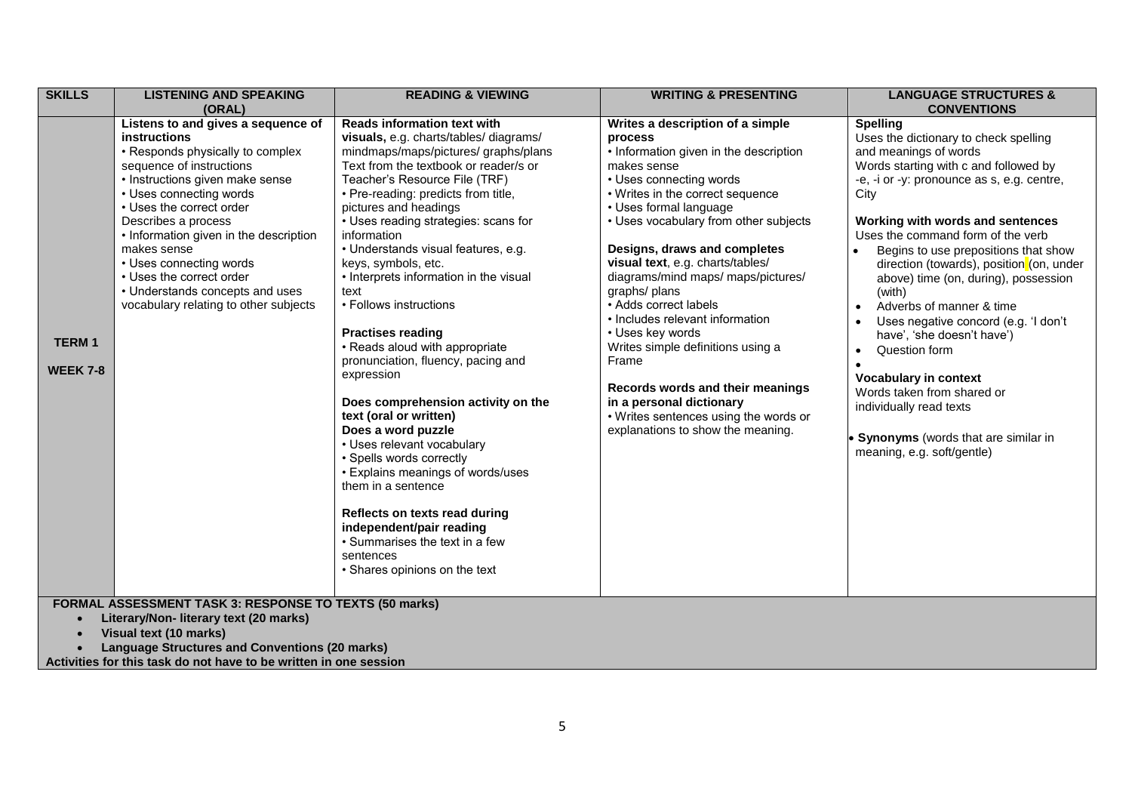| <b>SKILLS</b>                   | <b>LISTENING AND SPEAKING</b><br>(ORAL)                                                                                                                                                                                                                                                                                                                                                                                         | <b>READING &amp; VIEWING</b>                                                                                                                                                                                                                                                                                                                                                                                                                                                                                                                                                                                                                                                                                                                                                                                                                                                                                                              | <b>WRITING &amp; PRESENTING</b>                                                                                                                                                                                                                                                                                                                                                                                                                                                                                                                                                                                                               | <b>LANGUAGE STRUCTURES &amp;</b><br><b>CONVENTIONS</b>                                                                                                                                                                                                                                                                                                                                                                                                                                                                                                                                                                                                                                 |  |  |
|---------------------------------|---------------------------------------------------------------------------------------------------------------------------------------------------------------------------------------------------------------------------------------------------------------------------------------------------------------------------------------------------------------------------------------------------------------------------------|-------------------------------------------------------------------------------------------------------------------------------------------------------------------------------------------------------------------------------------------------------------------------------------------------------------------------------------------------------------------------------------------------------------------------------------------------------------------------------------------------------------------------------------------------------------------------------------------------------------------------------------------------------------------------------------------------------------------------------------------------------------------------------------------------------------------------------------------------------------------------------------------------------------------------------------------|-----------------------------------------------------------------------------------------------------------------------------------------------------------------------------------------------------------------------------------------------------------------------------------------------------------------------------------------------------------------------------------------------------------------------------------------------------------------------------------------------------------------------------------------------------------------------------------------------------------------------------------------------|----------------------------------------------------------------------------------------------------------------------------------------------------------------------------------------------------------------------------------------------------------------------------------------------------------------------------------------------------------------------------------------------------------------------------------------------------------------------------------------------------------------------------------------------------------------------------------------------------------------------------------------------------------------------------------------|--|--|
| <b>TERM1</b><br><b>WEEK 7-8</b> | Listens to and gives a sequence of<br>instructions<br>• Responds physically to complex<br>sequence of instructions<br>• Instructions given make sense<br>• Uses connecting words<br>• Uses the correct order<br>Describes a process<br>• Information given in the description<br>makes sense<br>• Uses connecting words<br>• Uses the correct order<br>• Understands concepts and uses<br>vocabulary relating to other subjects | <b>Reads information text with</b><br>visuals, e.g. charts/tables/ diagrams/<br>mindmaps/maps/pictures/ graphs/plans<br>Text from the textbook or reader/s or<br>Teacher's Resource File (TRF)<br>• Pre-reading: predicts from title,<br>pictures and headings<br>• Uses reading strategies: scans for<br>information<br>• Understands visual features, e.g.<br>keys, symbols, etc.<br>• Interprets information in the visual<br>text<br>• Follows instructions<br><b>Practises reading</b><br>• Reads aloud with appropriate<br>pronunciation, fluency, pacing and<br>expression<br>Does comprehension activity on the<br>text (oral or written)<br>Does a word puzzle<br>• Uses relevant vocabulary<br>• Spells words correctly<br>• Explains meanings of words/uses<br>them in a sentence<br>Reflects on texts read during<br>independent/pair reading<br>• Summarises the text in a few<br>sentences<br>• Shares opinions on the text | Writes a description of a simple<br>process<br>• Information given in the description<br>makes sense<br>• Uses connecting words<br>• Writes in the correct sequence<br>• Uses formal language<br>• Uses vocabulary from other subjects<br>Designs, draws and completes<br>visual text, e.g. charts/tables/<br>diagrams/mind maps/ maps/pictures/<br>graphs/ plans<br>• Adds correct labels<br>• Includes relevant information<br>• Uses key words<br>Writes simple definitions using a<br>Frame<br>Records words and their meanings<br>in a personal dictionary<br>• Writes sentences using the words or<br>explanations to show the meaning. | <b>Spelling</b><br>Uses the dictionary to check spelling<br>and meanings of words<br>Words starting with c and followed by<br>-e, -i or -y: pronounce as s, e.g. centre,<br>City<br>Working with words and sentences<br>Uses the command form of the verb<br>Begins to use prepositions that show<br>direction (towards), position (on, under<br>above) time (on, during), possession<br>(with)<br>Adverbs of manner & time<br>Uses negative concord (e.g. 'I don't<br>have', 'she doesn't have')<br>Question form<br>$\bullet$<br>Vocabulary in context<br>Words taken from shared or<br>individually read texts<br>Synonyms (words that are similar in<br>meaning, e.g. soft/gentle) |  |  |
|                                 | <b>FORMAL ASSESSMENT TASK 3: RESPONSE TO TEXTS (50 marks)</b><br>Literary/Non- literary text (20 marks)<br>Visual text (10 marks)                                                                                                                                                                                                                                                                                               |                                                                                                                                                                                                                                                                                                                                                                                                                                                                                                                                                                                                                                                                                                                                                                                                                                                                                                                                           |                                                                                                                                                                                                                                                                                                                                                                                                                                                                                                                                                                                                                                               |                                                                                                                                                                                                                                                                                                                                                                                                                                                                                                                                                                                                                                                                                        |  |  |
|                                 | <b>Language Structures and Conventions (20 marks)</b><br>Activities for this task do not have to be written in one session                                                                                                                                                                                                                                                                                                      |                                                                                                                                                                                                                                                                                                                                                                                                                                                                                                                                                                                                                                                                                                                                                                                                                                                                                                                                           |                                                                                                                                                                                                                                                                                                                                                                                                                                                                                                                                                                                                                                               |                                                                                                                                                                                                                                                                                                                                                                                                                                                                                                                                                                                                                                                                                        |  |  |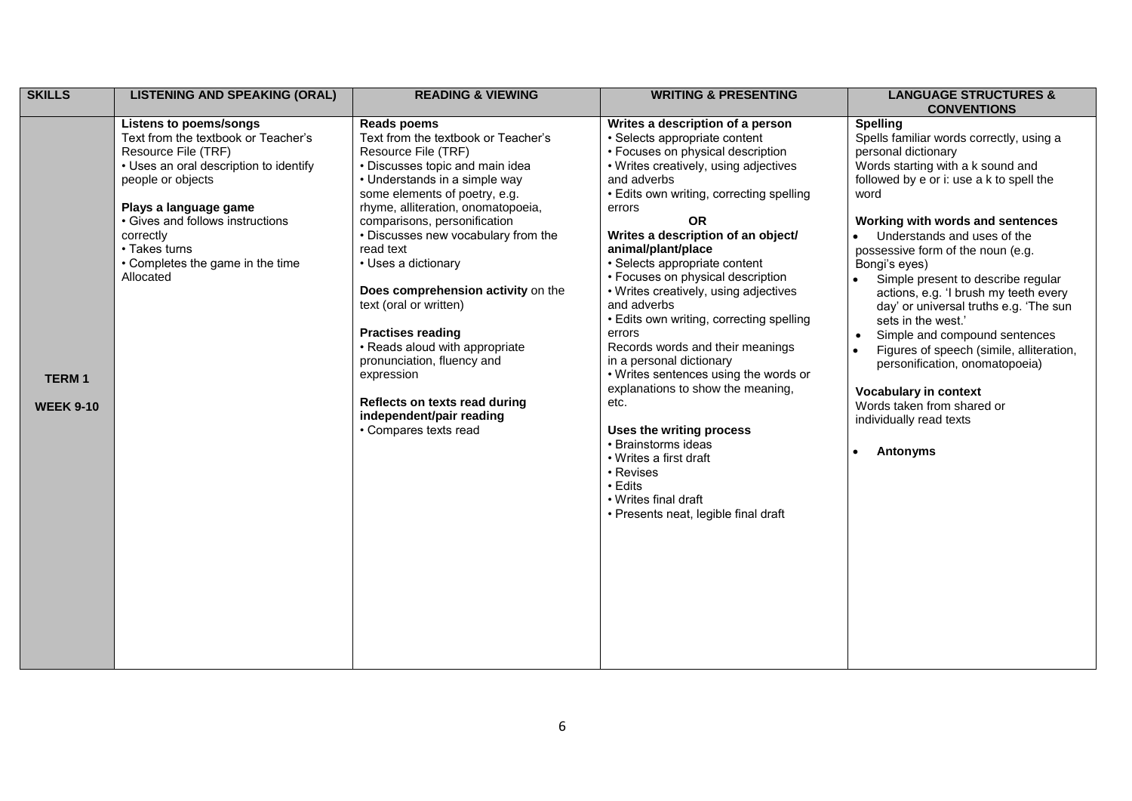| <b>SKILLS</b>                    | <b>LISTENING AND SPEAKING (ORAL)</b>                                                                                                                                                                                                                                                                   | <b>READING &amp; VIEWING</b>                                                                                                                                                                                                                                                                                                                                                                                                                                                                                                                                                                           | <b>WRITING &amp; PRESENTING</b>                                                                                                                                                                                                                                                                                                                                                                                                                                                                                                                                                                                                                                                                                                                                                                              | <b>LANGUAGE STRUCTURES &amp;</b><br><b>CONVENTIONS</b>                                                                                                                                                                                                                                                                                                                                                                                                                                                                                                                                                                                                                                     |
|----------------------------------|--------------------------------------------------------------------------------------------------------------------------------------------------------------------------------------------------------------------------------------------------------------------------------------------------------|--------------------------------------------------------------------------------------------------------------------------------------------------------------------------------------------------------------------------------------------------------------------------------------------------------------------------------------------------------------------------------------------------------------------------------------------------------------------------------------------------------------------------------------------------------------------------------------------------------|--------------------------------------------------------------------------------------------------------------------------------------------------------------------------------------------------------------------------------------------------------------------------------------------------------------------------------------------------------------------------------------------------------------------------------------------------------------------------------------------------------------------------------------------------------------------------------------------------------------------------------------------------------------------------------------------------------------------------------------------------------------------------------------------------------------|--------------------------------------------------------------------------------------------------------------------------------------------------------------------------------------------------------------------------------------------------------------------------------------------------------------------------------------------------------------------------------------------------------------------------------------------------------------------------------------------------------------------------------------------------------------------------------------------------------------------------------------------------------------------------------------------|
| <b>TERM1</b><br><b>WEEK 9-10</b> | <b>Listens to poems/songs</b><br>Text from the textbook or Teacher's<br>Resource File (TRF)<br>• Uses an oral description to identify<br>people or objects<br>Plays a language game<br>• Gives and follows instructions<br>correctly<br>• Takes turns<br>• Completes the game in the time<br>Allocated | <b>Reads poems</b><br>Text from the textbook or Teacher's<br>Resource File (TRF)<br>• Discusses topic and main idea<br>• Understands in a simple way<br>some elements of poetry, e.g.<br>rhyme, alliteration, onomatopoeia,<br>comparisons, personification<br>• Discusses new vocabulary from the<br>read text<br>• Uses a dictionary<br>Does comprehension activity on the<br>text (oral or written)<br><b>Practises reading</b><br>• Reads aloud with appropriate<br>pronunciation, fluency and<br>expression<br>Reflects on texts read during<br>independent/pair reading<br>• Compares texts read | Writes a description of a person<br>• Selects appropriate content<br>• Focuses on physical description<br>• Writes creatively, using adjectives<br>and adverbs<br>• Edits own writing, correcting spelling<br>errors<br><b>OR</b><br>Writes a description of an object/<br>animal/plant/place<br>• Selects appropriate content<br>• Focuses on physical description<br>• Writes creatively, using adjectives<br>and adverbs<br>• Edits own writing, correcting spelling<br>errors<br>Records words and their meanings<br>in a personal dictionary<br>• Writes sentences using the words or<br>explanations to show the meaning,<br>etc.<br>Uses the writing process<br>• Brainstorms ideas<br>• Writes a first draft<br>• Revises<br>• Edits<br>• Writes final draft<br>• Presents neat, legible final draft | <b>Spelling</b><br>Spells familiar words correctly, using a<br>personal dictionary<br>Words starting with a k sound and<br>followed by e or i: use a k to spell the<br>word<br>Working with words and sentences<br>Understands and uses of the<br>possessive form of the noun (e.g.<br>Bongi's eyes)<br>Simple present to describe regular<br>actions, e.g. 'I brush my teeth every<br>day' or universal truths e.g. 'The sun<br>sets in the west.'<br>Simple and compound sentences<br>Figures of speech (simile, alliteration,<br>$\bullet$<br>personification, onomatopoeia)<br>Vocabulary in context<br>Words taken from shared or<br>individually read texts<br>Antonyms<br>$\bullet$ |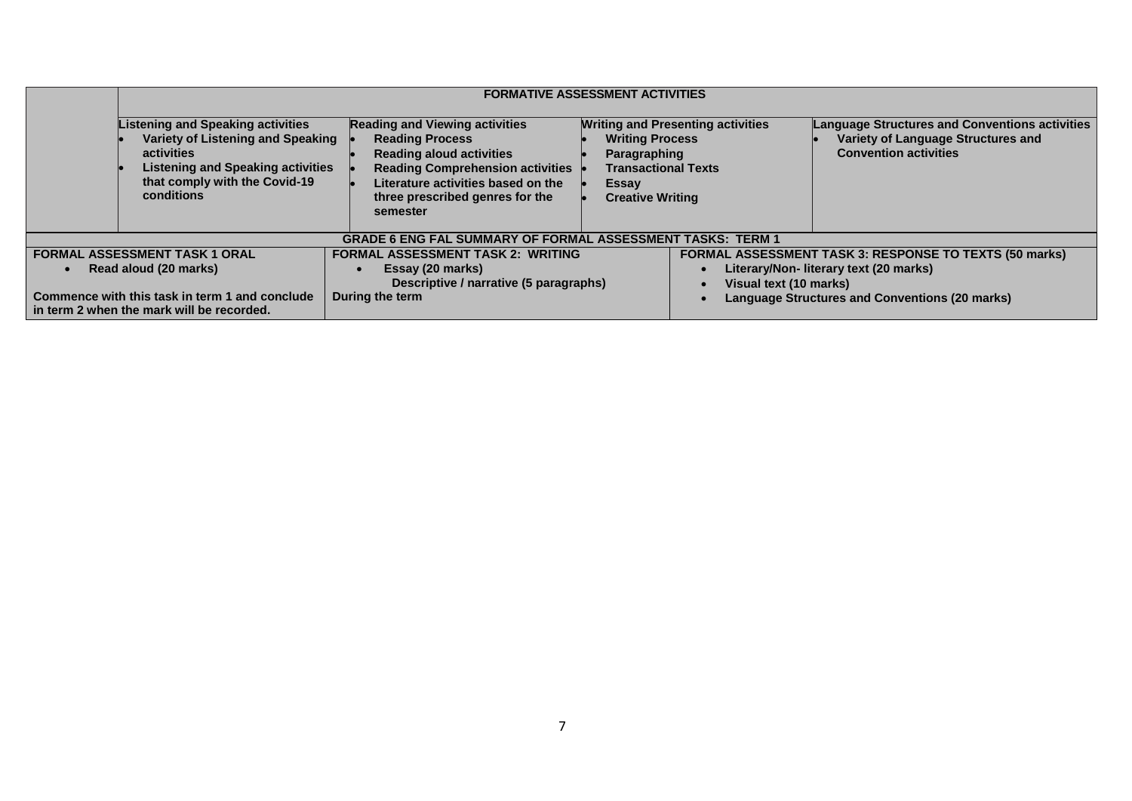|                                                                                                                 | <b>FORMATIVE ASSESSMENT ACTIVITIES</b>                                                                                                                                                 |                                                                                                                                                                                                                                    |                                                                                                          |                                          |                                                                                                                                                           |
|-----------------------------------------------------------------------------------------------------------------|----------------------------------------------------------------------------------------------------------------------------------------------------------------------------------------|------------------------------------------------------------------------------------------------------------------------------------------------------------------------------------------------------------------------------------|----------------------------------------------------------------------------------------------------------|------------------------------------------|-----------------------------------------------------------------------------------------------------------------------------------------------------------|
|                                                                                                                 | <b>Listening and Speaking activities</b><br>Variety of Listening and Speaking<br>activities<br><b>Listening and Speaking activities</b><br>that comply with the Covid-19<br>conditions | <b>Reading and Viewing activities</b><br><b>Reading Process</b><br><b>Reading aloud activities</b><br><b>Reading Comprehension activities</b><br>Literature activities based on the<br>three prescribed genres for the<br>semester | <b>Writing Process</b><br>Paragraphing<br><b>Transactional Texts</b><br>Essay<br><b>Creative Writing</b> | <b>Writing and Presenting activities</b> | <b>Language Structures and Conventions activities</b><br>Variety of Language Structures and<br><b>Convention activities</b>                               |
|                                                                                                                 |                                                                                                                                                                                        | <b>GRADE 6 ENG FAL SUMMARY OF FORMAL ASSESSMENT TASKS: TERM 1</b>                                                                                                                                                                  |                                                                                                          |                                          |                                                                                                                                                           |
| <b>FORMAL ASSESSMENT TASK 1 ORAL</b><br>Read aloud (20 marks)<br>Commence with this task in term 1 and conclude |                                                                                                                                                                                        | <b>FORMAL ASSESSMENT TASK 2: WRITING</b><br>Essay (20 marks)<br>Descriptive / narrative (5 paragraphs)<br>During the term                                                                                                          |                                                                                                          | Visual text (10 marks)                   | FORMAL ASSESSMENT TASK 3: RESPONSE TO TEXTS (50 marks)<br>Literary/Non- literary text (20 marks)<br><b>Language Structures and Conventions (20 marks)</b> |
|                                                                                                                 | in term 2 when the mark will be recorded.                                                                                                                                              |                                                                                                                                                                                                                                    |                                                                                                          |                                          |                                                                                                                                                           |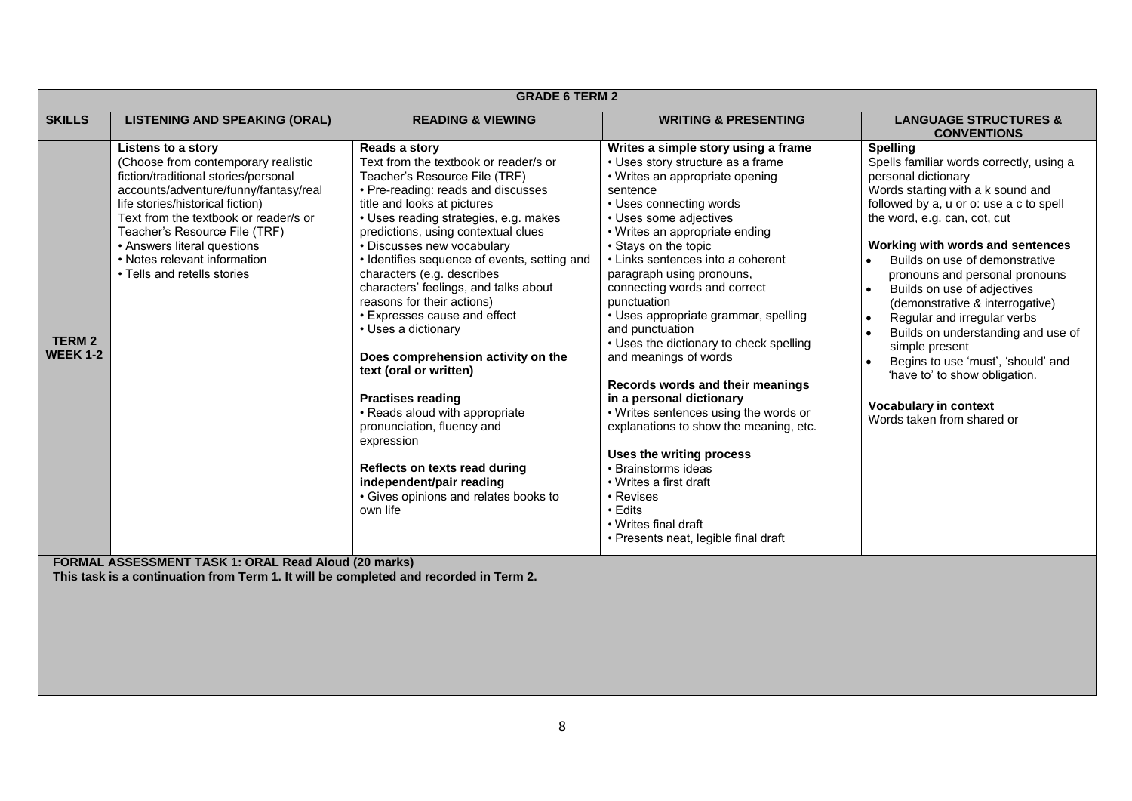| <b>GRADE 6 TERM 2</b>            |                                                                                                                                                                                                                                                                                                                                                        |                                                                                                                                                                                                                                                                                                                                                                                                                                                                                                                                                                                                                                                                                                                                                                                    |                                                                                                                                                                                                                                                                                                                                                                                                                                                                                                                                                                                                                                                                                                                                                                                                                |                                                                                                                                                                                                                                                                                                                                                                                                                                                                                                                                                                                                                                                              |
|----------------------------------|--------------------------------------------------------------------------------------------------------------------------------------------------------------------------------------------------------------------------------------------------------------------------------------------------------------------------------------------------------|------------------------------------------------------------------------------------------------------------------------------------------------------------------------------------------------------------------------------------------------------------------------------------------------------------------------------------------------------------------------------------------------------------------------------------------------------------------------------------------------------------------------------------------------------------------------------------------------------------------------------------------------------------------------------------------------------------------------------------------------------------------------------------|----------------------------------------------------------------------------------------------------------------------------------------------------------------------------------------------------------------------------------------------------------------------------------------------------------------------------------------------------------------------------------------------------------------------------------------------------------------------------------------------------------------------------------------------------------------------------------------------------------------------------------------------------------------------------------------------------------------------------------------------------------------------------------------------------------------|--------------------------------------------------------------------------------------------------------------------------------------------------------------------------------------------------------------------------------------------------------------------------------------------------------------------------------------------------------------------------------------------------------------------------------------------------------------------------------------------------------------------------------------------------------------------------------------------------------------------------------------------------------------|
| <b>SKILLS</b>                    | <b>LISTENING AND SPEAKING (ORAL)</b>                                                                                                                                                                                                                                                                                                                   | <b>READING &amp; VIEWING</b>                                                                                                                                                                                                                                                                                                                                                                                                                                                                                                                                                                                                                                                                                                                                                       | <b>WRITING &amp; PRESENTING</b>                                                                                                                                                                                                                                                                                                                                                                                                                                                                                                                                                                                                                                                                                                                                                                                | <b>LANGUAGE STRUCTURES &amp;</b><br><b>CONVENTIONS</b>                                                                                                                                                                                                                                                                                                                                                                                                                                                                                                                                                                                                       |
| <b>TERM 2</b><br><b>WEEK 1-2</b> | Listens to a story<br>(Choose from contemporary realistic<br>fiction/traditional stories/personal<br>accounts/adventure/funny/fantasy/real<br>life stories/historical fiction)<br>Text from the textbook or reader/s or<br>Teacher's Resource File (TRF)<br>• Answers literal questions<br>• Notes relevant information<br>• Tells and retells stories | Reads a story<br>Text from the textbook or reader/s or<br>Teacher's Resource File (TRF)<br>• Pre-reading: reads and discusses<br>title and looks at pictures<br>• Uses reading strategies, e.g. makes<br>predictions, using contextual clues<br>• Discusses new vocabulary<br>• Identifies sequence of events, setting and<br>characters (e.g. describes<br>characters' feelings, and talks about<br>reasons for their actions)<br>• Expresses cause and effect<br>• Uses a dictionary<br>Does comprehension activity on the<br>text (oral or written)<br><b>Practises reading</b><br>• Reads aloud with appropriate<br>pronunciation, fluency and<br>expression<br>Reflects on texts read during<br>independent/pair reading<br>• Gives opinions and relates books to<br>own life | Writes a simple story using a frame<br>• Uses story structure as a frame<br>• Writes an appropriate opening<br>sentence<br>• Uses connecting words<br>• Uses some adjectives<br>• Writes an appropriate ending<br>• Stays on the topic<br>• Links sentences into a coherent<br>paragraph using pronouns,<br>connecting words and correct<br>punctuation<br>• Uses appropriate grammar, spelling<br>and punctuation<br>• Uses the dictionary to check spelling<br>and meanings of words<br>Records words and their meanings<br>in a personal dictionary<br>• Writes sentences using the words or<br>explanations to show the meaning, etc.<br>Uses the writing process<br>• Brainstorms ideas<br>• Writes a first draft<br>• Revises<br>• Edits<br>• Writes final draft<br>• Presents neat, legible final draft | <b>Spelling</b><br>Spells familiar words correctly, using a<br>personal dictionary<br>Words starting with a k sound and<br>followed by a, u or o: use a c to spell<br>the word, e.g. can, cot, cut<br>Working with words and sentences<br>Builds on use of demonstrative<br>pronouns and personal pronouns<br>Builds on use of adjectives<br>$\bullet$<br>(demonstrative & interrogative)<br>Regular and irregular verbs<br>$\bullet$<br>Builds on understanding and use of<br>$\bullet$<br>simple present<br>Begins to use 'must', 'should' and<br>$\bullet$<br>'have to' to show obligation.<br><b>Vocabulary in context</b><br>Words taken from shared or |
|                                  | <b>FORMAL ASSESSMENT TASK 1: ORAL Read Aloud (20 marks)</b>                                                                                                                                                                                                                                                                                            |                                                                                                                                                                                                                                                                                                                                                                                                                                                                                                                                                                                                                                                                                                                                                                                    |                                                                                                                                                                                                                                                                                                                                                                                                                                                                                                                                                                                                                                                                                                                                                                                                                |                                                                                                                                                                                                                                                                                                                                                                                                                                                                                                                                                                                                                                                              |

**This task is a continuation from Term 1. It will be completed and recorded in Term 2.**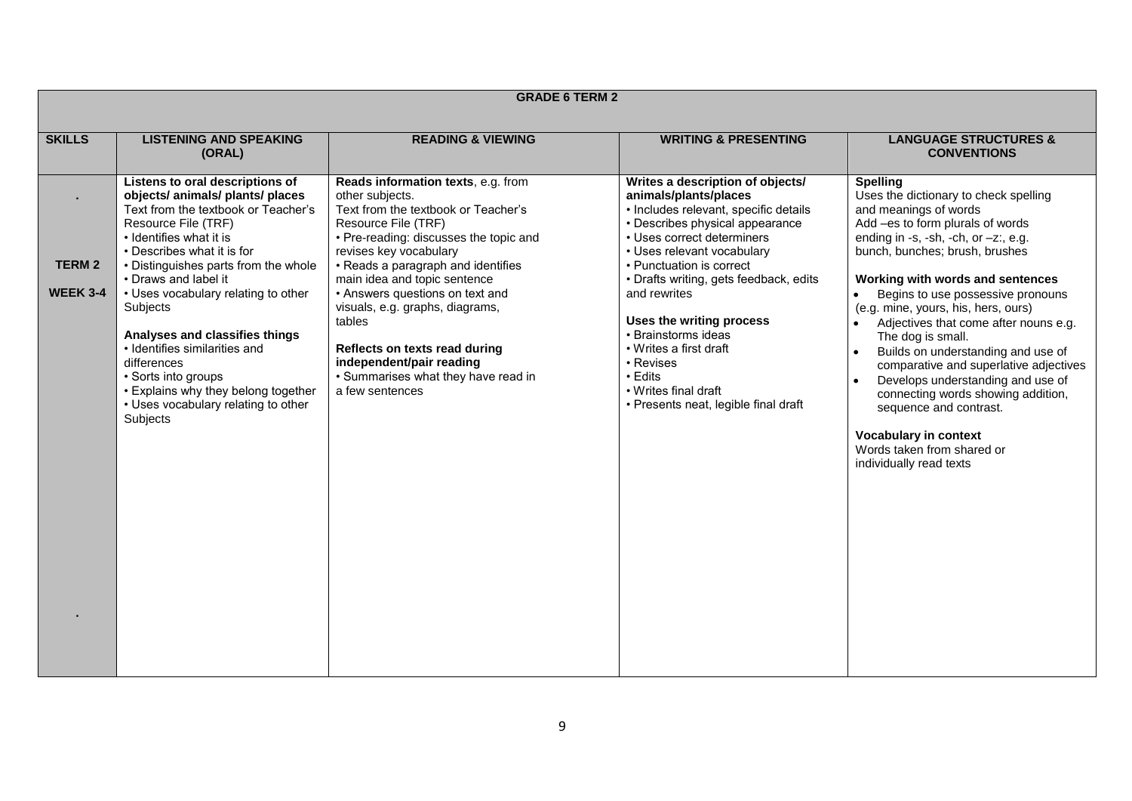| <b>GRADE 6 TERM 2</b>            |                                                                                                                                                                                                                                                                                                                                                                                                                                                                                                                  |                                                                                                                                                                                                                                                                                                                                                                                                                                                                      |                                                                                                                                                                                                                                                                                                                                                                                                                                                              |                                                                                                                                                                                                                                                                                                                                                                                                                                                                                                                                                                                                                                                                            |
|----------------------------------|------------------------------------------------------------------------------------------------------------------------------------------------------------------------------------------------------------------------------------------------------------------------------------------------------------------------------------------------------------------------------------------------------------------------------------------------------------------------------------------------------------------|----------------------------------------------------------------------------------------------------------------------------------------------------------------------------------------------------------------------------------------------------------------------------------------------------------------------------------------------------------------------------------------------------------------------------------------------------------------------|--------------------------------------------------------------------------------------------------------------------------------------------------------------------------------------------------------------------------------------------------------------------------------------------------------------------------------------------------------------------------------------------------------------------------------------------------------------|----------------------------------------------------------------------------------------------------------------------------------------------------------------------------------------------------------------------------------------------------------------------------------------------------------------------------------------------------------------------------------------------------------------------------------------------------------------------------------------------------------------------------------------------------------------------------------------------------------------------------------------------------------------------------|
| <b>SKILLS</b>                    | <b>LISTENING AND SPEAKING</b><br>(ORAL)                                                                                                                                                                                                                                                                                                                                                                                                                                                                          | <b>READING &amp; VIEWING</b>                                                                                                                                                                                                                                                                                                                                                                                                                                         | <b>WRITING &amp; PRESENTING</b>                                                                                                                                                                                                                                                                                                                                                                                                                              | <b>LANGUAGE STRUCTURES &amp;</b><br><b>CONVENTIONS</b>                                                                                                                                                                                                                                                                                                                                                                                                                                                                                                                                                                                                                     |
| <b>TERM 2</b><br><b>WEEK 3-4</b> | Listens to oral descriptions of<br>objects/ animals/ plants/ places<br>Text from the textbook or Teacher's<br>Resource File (TRF)<br>• Identifies what it is<br>• Describes what it is for<br>• Distinguishes parts from the whole<br>• Draws and label it<br>• Uses vocabulary relating to other<br>Subjects<br>Analyses and classifies things<br>• Identifies similarities and<br>differences<br>• Sorts into groups<br>• Explains why they belong together<br>• Uses vocabulary relating to other<br>Subjects | Reads information texts, e.g. from<br>other subjects.<br>Text from the textbook or Teacher's<br>Resource File (TRF)<br>• Pre-reading: discusses the topic and<br>revises key vocabulary<br>• Reads a paragraph and identifies<br>main idea and topic sentence<br>• Answers questions on text and<br>visuals, e.g. graphs, diagrams,<br>tables<br>Reflects on texts read during<br>independent/pair reading<br>• Summarises what they have read in<br>a few sentences | Writes a description of objects/<br>animals/plants/places<br>· Includes relevant, specific details<br>• Describes physical appearance<br>• Uses correct determiners<br>• Uses relevant vocabulary<br>• Punctuation is correct<br>• Drafts writing, gets feedback, edits<br>and rewrites<br>Uses the writing process<br>• Brainstorms ideas<br>• Writes a first draft<br>• Revises<br>• Edits<br>• Writes final draft<br>• Presents neat, legible final draft | <b>Spelling</b><br>Uses the dictionary to check spelling<br>and meanings of words<br>Add -es to form plurals of words<br>ending in -s, -sh, -ch, or $-z$ ; e.g.<br>bunch, bunches; brush, brushes<br>Working with words and sentences<br>Begins to use possessive pronouns<br>$\bullet$<br>(e.g. mine, yours, his, hers, ours)<br>Adjectives that come after nouns e.g.<br>The dog is small.<br>Builds on understanding and use of<br>comparative and superlative adjectives<br>Develops understanding and use of<br>connecting words showing addition,<br>sequence and contrast.<br><b>Vocabulary in context</b><br>Words taken from shared or<br>individually read texts |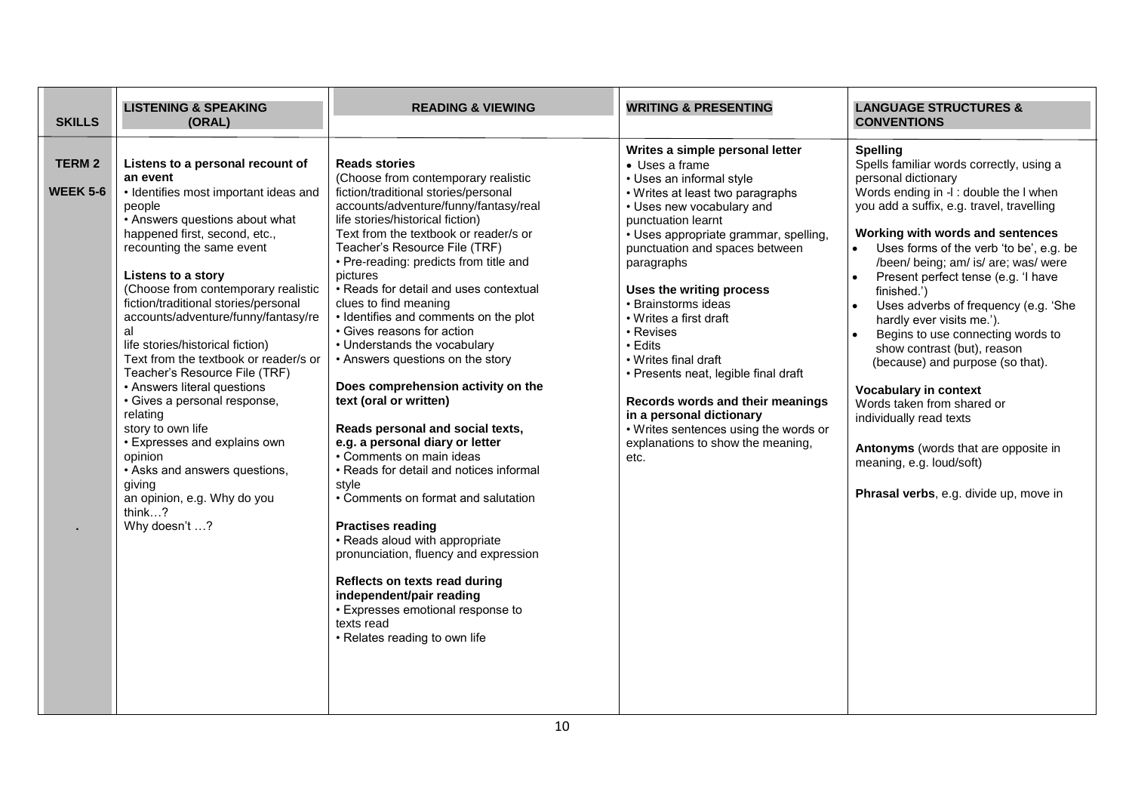| <b>SKILLS</b>                    | <b>LISTENING &amp; SPEAKING</b><br>(ORAL)                                                                                                                                                                                                                                                                                                                                                                                                                                                                                                                                                                                                                                                                       | <b>READING &amp; VIEWING</b>                                                                                                                                                                                                                                                                                                                                                                                                                                                                                                                                                                                                                                                                                                                                                                                                                                                                                                                                                                                                                         | <b>WRITING &amp; PRESENTING</b>                                                                                                                                                                                                                                                                                                                                                                                                                                                                                                                                                          | <b>LANGUAGE STRUCTURES &amp;</b><br><b>CONVENTIONS</b>                                                                                                                                                                                                                                                                                                                                                                                                                                                                                                                                                                                                                                                                                                 |
|----------------------------------|-----------------------------------------------------------------------------------------------------------------------------------------------------------------------------------------------------------------------------------------------------------------------------------------------------------------------------------------------------------------------------------------------------------------------------------------------------------------------------------------------------------------------------------------------------------------------------------------------------------------------------------------------------------------------------------------------------------------|------------------------------------------------------------------------------------------------------------------------------------------------------------------------------------------------------------------------------------------------------------------------------------------------------------------------------------------------------------------------------------------------------------------------------------------------------------------------------------------------------------------------------------------------------------------------------------------------------------------------------------------------------------------------------------------------------------------------------------------------------------------------------------------------------------------------------------------------------------------------------------------------------------------------------------------------------------------------------------------------------------------------------------------------------|------------------------------------------------------------------------------------------------------------------------------------------------------------------------------------------------------------------------------------------------------------------------------------------------------------------------------------------------------------------------------------------------------------------------------------------------------------------------------------------------------------------------------------------------------------------------------------------|--------------------------------------------------------------------------------------------------------------------------------------------------------------------------------------------------------------------------------------------------------------------------------------------------------------------------------------------------------------------------------------------------------------------------------------------------------------------------------------------------------------------------------------------------------------------------------------------------------------------------------------------------------------------------------------------------------------------------------------------------------|
| <b>TERM 2</b><br><b>WEEK 5-6</b> | Listens to a personal recount of<br>an event<br>• Identifies most important ideas and<br>people<br>• Answers questions about what<br>happened first, second, etc.,<br>recounting the same event<br>Listens to a story<br>(Choose from contemporary realistic<br>fiction/traditional stories/personal<br>accounts/adventure/funny/fantasy/re<br>al<br>life stories/historical fiction)<br>Text from the textbook or reader/s or<br>Teacher's Resource File (TRF)<br>• Answers literal questions<br>· Gives a personal response,<br>relating<br>story to own life<br>• Expresses and explains own<br>opinion<br>• Asks and answers questions,<br>giving<br>an opinion, e.g. Why do you<br>think?<br>Why doesn't ? | <b>Reads stories</b><br>(Choose from contemporary realistic<br>fiction/traditional stories/personal<br>accounts/adventure/funny/fantasy/real<br>life stories/historical fiction)<br>Text from the textbook or reader/s or<br>Teacher's Resource File (TRF)<br>• Pre-reading: predicts from title and<br>pictures<br>• Reads for detail and uses contextual<br>clues to find meaning<br>• Identifies and comments on the plot<br>• Gives reasons for action<br>• Understands the vocabulary<br>• Answers questions on the story<br>Does comprehension activity on the<br>text (oral or written)<br>Reads personal and social texts,<br>e.g. a personal diary or letter<br>• Comments on main ideas<br>• Reads for detail and notices informal<br>style<br>• Comments on format and salutation<br><b>Practises reading</b><br>• Reads aloud with appropriate<br>pronunciation, fluency and expression<br>Reflects on texts read during<br>independent/pair reading<br>• Expresses emotional response to<br>texts read<br>• Relates reading to own life | Writes a simple personal letter<br>• Uses a frame<br>• Uses an informal style<br>• Writes at least two paragraphs<br>• Uses new vocabulary and<br>punctuation learnt<br>• Uses appropriate grammar, spelling,<br>punctuation and spaces between<br>paragraphs<br>Uses the writing process<br>• Brainstorms ideas<br>• Writes a first draft<br>• Revises<br>• Edits<br>• Writes final draft<br>• Presents neat, legible final draft<br>Records words and their meanings<br>in a personal dictionary<br>• Writes sentences using the words or<br>explanations to show the meaning,<br>etc. | <b>Spelling</b><br>Spells familiar words correctly, using a<br>personal dictionary<br>Words ending in -I: double the I when<br>you add a suffix, e.g. travel, travelling<br>Working with words and sentences<br>Uses forms of the verb 'to be', e.g. be<br>/been/ being; am/ is/ are; was/ were<br>Present perfect tense (e.g. 'I have<br>$\bullet$<br>finished.')<br>Uses adverbs of frequency (e.g. 'She<br>hardly ever visits me.').<br>Begins to use connecting words to<br>show contrast (but), reason<br>(because) and purpose (so that).<br><b>Vocabulary in context</b><br>Words taken from shared or<br>individually read texts<br>Antonyms (words that are opposite in<br>meaning, e.g. loud/soft)<br>Phrasal verbs, e.g. divide up, move in |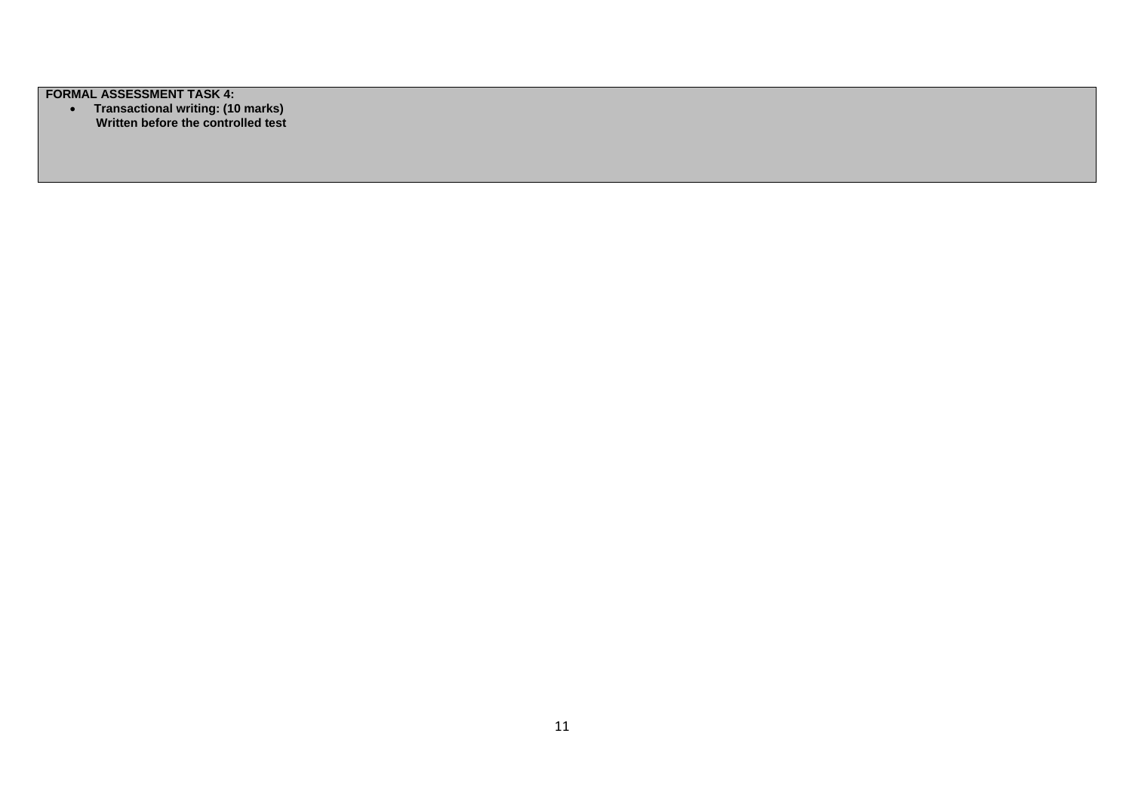**FORMAL ASSESSMENT TASK 4:** 

 **Transactional writing: (10 marks)** *Written before the controlled test*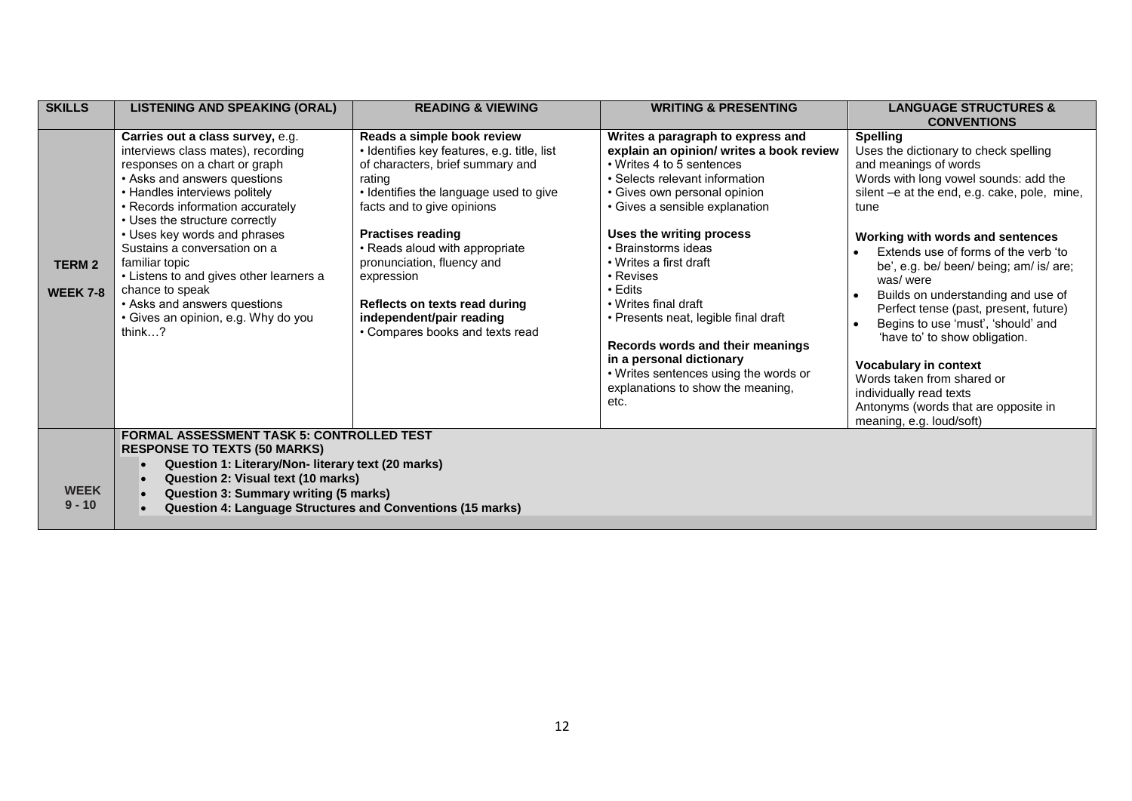| <b>SKILLS</b>                    | <b>LISTENING AND SPEAKING (ORAL)</b>                                                                                                                                                                                                                                                                                                                                                                                                                                            | <b>READING &amp; VIEWING</b>                                                                                                                                                                                                                                                                                                                                                                              | <b>WRITING &amp; PRESENTING</b>                                                                                                                                                                                                                                                                                                                                                                                                                                                                                                                 | <b>LANGUAGE STRUCTURES &amp;</b>                                                                                                                                                                                                                                                                                                                                                                                                                                                                                                                                                                                                         |
|----------------------------------|---------------------------------------------------------------------------------------------------------------------------------------------------------------------------------------------------------------------------------------------------------------------------------------------------------------------------------------------------------------------------------------------------------------------------------------------------------------------------------|-----------------------------------------------------------------------------------------------------------------------------------------------------------------------------------------------------------------------------------------------------------------------------------------------------------------------------------------------------------------------------------------------------------|-------------------------------------------------------------------------------------------------------------------------------------------------------------------------------------------------------------------------------------------------------------------------------------------------------------------------------------------------------------------------------------------------------------------------------------------------------------------------------------------------------------------------------------------------|------------------------------------------------------------------------------------------------------------------------------------------------------------------------------------------------------------------------------------------------------------------------------------------------------------------------------------------------------------------------------------------------------------------------------------------------------------------------------------------------------------------------------------------------------------------------------------------------------------------------------------------|
|                                  |                                                                                                                                                                                                                                                                                                                                                                                                                                                                                 |                                                                                                                                                                                                                                                                                                                                                                                                           |                                                                                                                                                                                                                                                                                                                                                                                                                                                                                                                                                 | <b>CONVENTIONS</b>                                                                                                                                                                                                                                                                                                                                                                                                                                                                                                                                                                                                                       |
| <b>TERM 2</b><br><b>WEEK 7-8</b> | Carries out a class survey, e.g.<br>interviews class mates), recording<br>responses on a chart or graph<br>• Asks and answers questions<br>• Handles interviews politely<br>• Records information accurately<br>• Uses the structure correctly<br>• Uses key words and phrases<br>Sustains a conversation on a<br>familiar topic<br>• Listens to and gives other learners a<br>chance to speak<br>• Asks and answers questions<br>• Gives an opinion, e.g. Why do you<br>think? | Reads a simple book review<br>• Identifies key features, e.g. title, list<br>of characters, brief summary and<br>rating<br>• Identifies the language used to give<br>facts and to give opinions<br><b>Practises reading</b><br>• Reads aloud with appropriate<br>pronunciation, fluency and<br>expression<br>Reflects on texts read during<br>independent/pair reading<br>• Compares books and texts read | Writes a paragraph to express and<br>explain an opinion/ writes a book review<br>• Writes 4 to 5 sentences<br>• Selects relevant information<br>• Gives own personal opinion<br>• Gives a sensible explanation<br>Uses the writing process<br>• Brainstorms ideas<br>• Writes a first draft<br>• Revises<br>$\cdot$ Edits<br>• Writes final draft<br>• Presents neat, legible final draft<br>Records words and their meanings<br>in a personal dictionary<br>• Writes sentences using the words or<br>explanations to show the meaning,<br>etc. | <b>Spelling</b><br>Uses the dictionary to check spelling<br>and meanings of words<br>Words with long vowel sounds: add the<br>silent -e at the end, e.g. cake, pole, mine,<br>tune<br>Working with words and sentences<br>Extends use of forms of the verb 'to<br>be', e.g. be/ been/ being; am/ is/ are;<br>was/were<br>Builds on understanding and use of<br>Perfect tense (past, present, future)<br>Begins to use 'must', 'should' and<br>'have to' to show obligation.<br><b>Vocabulary in context</b><br>Words taken from shared or<br>individually read texts<br>Antonyms (words that are opposite in<br>meaning, e.g. loud/soft) |
| <b>WEEK</b><br>$9 - 10$          | <b>FORMAL ASSESSMENT TASK 5: CONTROLLED TEST</b><br><b>RESPONSE TO TEXTS (50 MARKS)</b><br>Question 1: Literary/Non- literary text (20 marks)<br>Question 2: Visual text (10 marks)<br>Question 3: Summary writing (5 marks)<br><b>Question 4: Language Structures and Conventions (15 marks)</b>                                                                                                                                                                               |                                                                                                                                                                                                                                                                                                                                                                                                           |                                                                                                                                                                                                                                                                                                                                                                                                                                                                                                                                                 |                                                                                                                                                                                                                                                                                                                                                                                                                                                                                                                                                                                                                                          |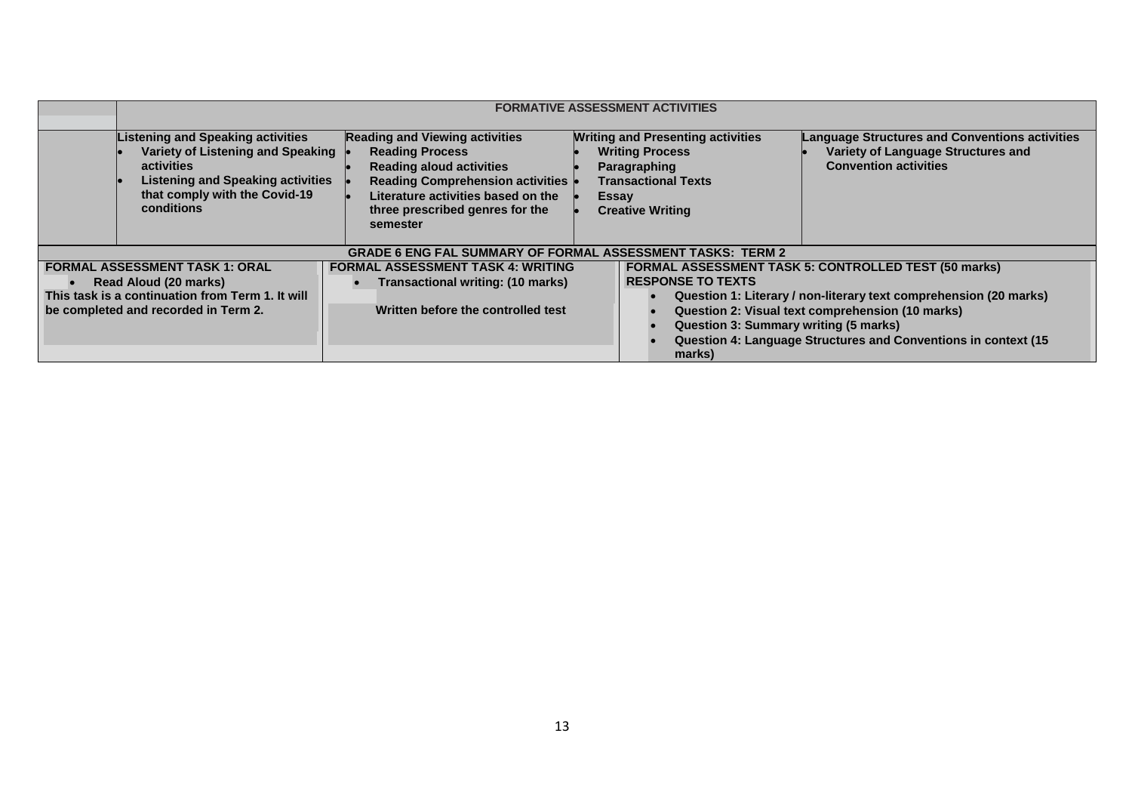|                                                                                                                                                            | <b>FORMATIVE ASSESSMENT ACTIVITIES</b>                                                                                                                                                        |                                                                                                                                                                                                                                    |                                                                                                                                                      |                                                                                                                                                                                                                                                        |
|------------------------------------------------------------------------------------------------------------------------------------------------------------|-----------------------------------------------------------------------------------------------------------------------------------------------------------------------------------------------|------------------------------------------------------------------------------------------------------------------------------------------------------------------------------------------------------------------------------------|------------------------------------------------------------------------------------------------------------------------------------------------------|--------------------------------------------------------------------------------------------------------------------------------------------------------------------------------------------------------------------------------------------------------|
|                                                                                                                                                            | <b>Listening and Speaking activities</b><br>Variety of Listening and Speaking<br><b>activities</b><br><b>Listening and Speaking activities</b><br>that comply with the Covid-19<br>conditions | <b>Reading and Viewing activities</b><br><b>Reading Process</b><br><b>Reading aloud activities</b><br><b>Reading Comprehension activities</b><br>Literature activities based on the<br>three prescribed genres for the<br>semester | <b>Writing and Presenting activities</b><br><b>Writing Process</b><br>Paragraphing<br><b>Transactional Texts</b><br>Essay<br><b>Creative Writing</b> | <b>Language Structures and Conventions activities</b><br>Variety of Language Structures and<br><b>Convention activities</b>                                                                                                                            |
|                                                                                                                                                            |                                                                                                                                                                                               | <b>GRADE 6 ENG FAL SUMMARY OF FORMAL ASSESSMENT TASKS: TERM 2</b>                                                                                                                                                                  |                                                                                                                                                      |                                                                                                                                                                                                                                                        |
| <b>FORMAL ASSESSMENT TASK 1: ORAL</b><br>Read Aloud (20 marks)<br>This task is a continuation from Term 1. It will<br>be completed and recorded in Term 2. |                                                                                                                                                                                               | <b>FORMAL ASSESSMENT TASK 4: WRITING</b><br>Transactional writing: (10 marks)<br>Written before the controlled test                                                                                                                | <b>RESPONSE TO TEXTS</b><br>Question 3: Summary writing (5 marks)<br>marks)                                                                          | <b>FORMAL ASSESSMENT TASK 5: CONTROLLED TEST (50 marks)</b><br>Question 1: Literary / non-literary text comprehension (20 marks)<br>Question 2: Visual text comprehension (10 marks)<br>Question 4: Language Structures and Conventions in context (15 |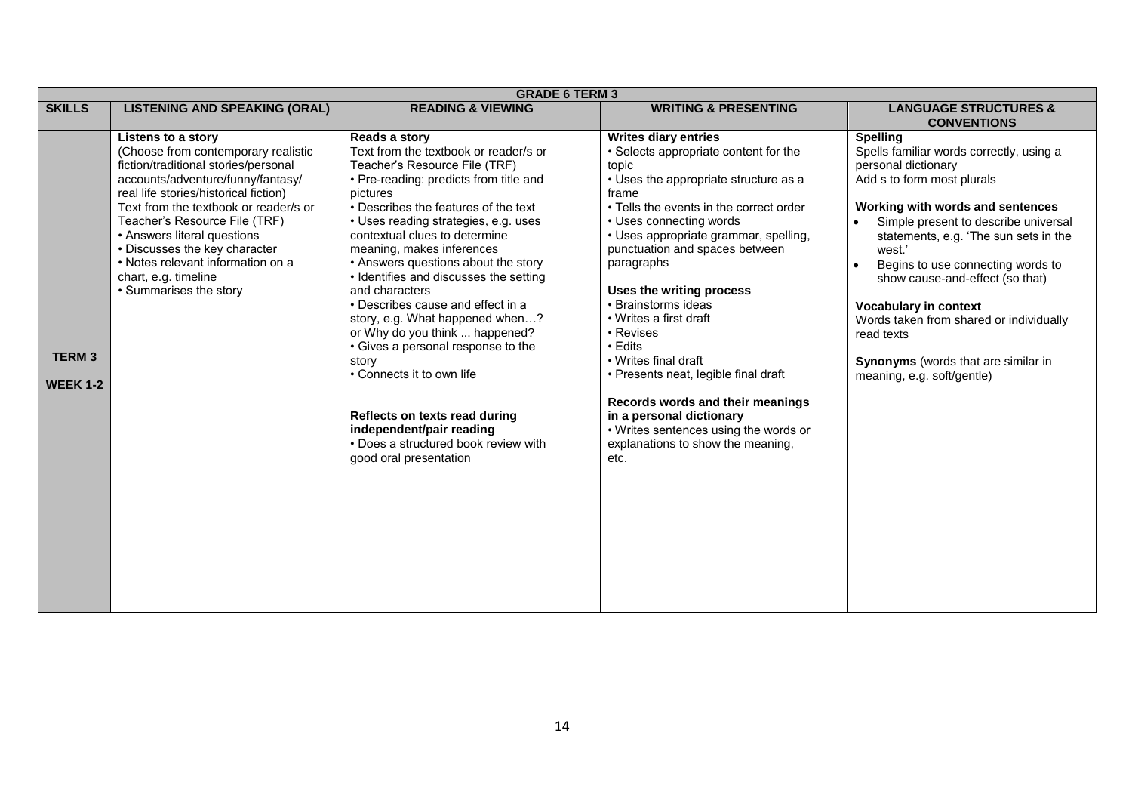|                                 | <b>GRADE 6 TERM 3</b>                                                                                                                                                                                                                                                                                                                                                                                            |                                                                                                                                                                                                                                                                                                                                                                                                                                                                                                                                                                                                                                                                                                                     |                                                                                                                                                                                                                                                                                                                                                                                                                                                                                                                                                                                                                           |                                                                                                                                                                                                                                                                                                                                                                                                                                                                                                    |  |  |
|---------------------------------|------------------------------------------------------------------------------------------------------------------------------------------------------------------------------------------------------------------------------------------------------------------------------------------------------------------------------------------------------------------------------------------------------------------|---------------------------------------------------------------------------------------------------------------------------------------------------------------------------------------------------------------------------------------------------------------------------------------------------------------------------------------------------------------------------------------------------------------------------------------------------------------------------------------------------------------------------------------------------------------------------------------------------------------------------------------------------------------------------------------------------------------------|---------------------------------------------------------------------------------------------------------------------------------------------------------------------------------------------------------------------------------------------------------------------------------------------------------------------------------------------------------------------------------------------------------------------------------------------------------------------------------------------------------------------------------------------------------------------------------------------------------------------------|----------------------------------------------------------------------------------------------------------------------------------------------------------------------------------------------------------------------------------------------------------------------------------------------------------------------------------------------------------------------------------------------------------------------------------------------------------------------------------------------------|--|--|
| <b>SKILLS</b>                   | <b>LISTENING AND SPEAKING (ORAL)</b>                                                                                                                                                                                                                                                                                                                                                                             | <b>READING &amp; VIEWING</b>                                                                                                                                                                                                                                                                                                                                                                                                                                                                                                                                                                                                                                                                                        | <b>WRITING &amp; PRESENTING</b>                                                                                                                                                                                                                                                                                                                                                                                                                                                                                                                                                                                           | <b>LANGUAGE STRUCTURES &amp;</b><br><b>CONVENTIONS</b>                                                                                                                                                                                                                                                                                                                                                                                                                                             |  |  |
| <b>TERM3</b><br><b>WEEK 1-2</b> | Listens to a story<br>(Choose from contemporary realistic<br>fiction/traditional stories/personal<br>accounts/adventure/funny/fantasy/<br>real life stories/historical fiction)<br>Text from the textbook or reader/s or<br>Teacher's Resource File (TRF)<br>• Answers literal questions<br>• Discusses the key character<br>• Notes relevant information on a<br>chart, e.g. timeline<br>• Summarises the story | Reads a story<br>Text from the textbook or reader/s or<br>Teacher's Resource File (TRF)<br>• Pre-reading: predicts from title and<br>pictures<br>• Describes the features of the text<br>• Uses reading strategies, e.g. uses<br>contextual clues to determine<br>meaning, makes inferences<br>• Answers questions about the story<br>• Identifies and discusses the setting<br>and characters<br>• Describes cause and effect in a<br>story, e.g. What happened when?<br>or Why do you think  happened?<br>• Gives a personal response to the<br>story<br>• Connects it to own life<br>Reflects on texts read during<br>independent/pair reading<br>• Does a structured book review with<br>good oral presentation | <b>Writes diary entries</b><br>• Selects appropriate content for the<br>topic<br>• Uses the appropriate structure as a<br>frame<br>• Tells the events in the correct order<br>• Uses connecting words<br>• Uses appropriate grammar, spelling,<br>punctuation and spaces between<br>paragraphs<br>Uses the writing process<br>• Brainstorms ideas<br>• Writes a first draft<br>• Revises<br>• Edits<br>• Writes final draft<br>• Presents neat, legible final draft<br>Records words and their meanings<br>in a personal dictionary<br>• Writes sentences using the words or<br>explanations to show the meaning,<br>etc. | <b>Spelling</b><br>Spells familiar words correctly, using a<br>personal dictionary<br>Add s to form most plurals<br>Working with words and sentences<br>Simple present to describe universal<br>statements, e.g. 'The sun sets in the<br>west.'<br>Begins to use connecting words to<br>$\bullet$<br>show cause-and-effect (so that)<br><b>Vocabulary in context</b><br>Words taken from shared or individually<br>read texts<br>Synonyms (words that are similar in<br>meaning, e.g. soft/gentle) |  |  |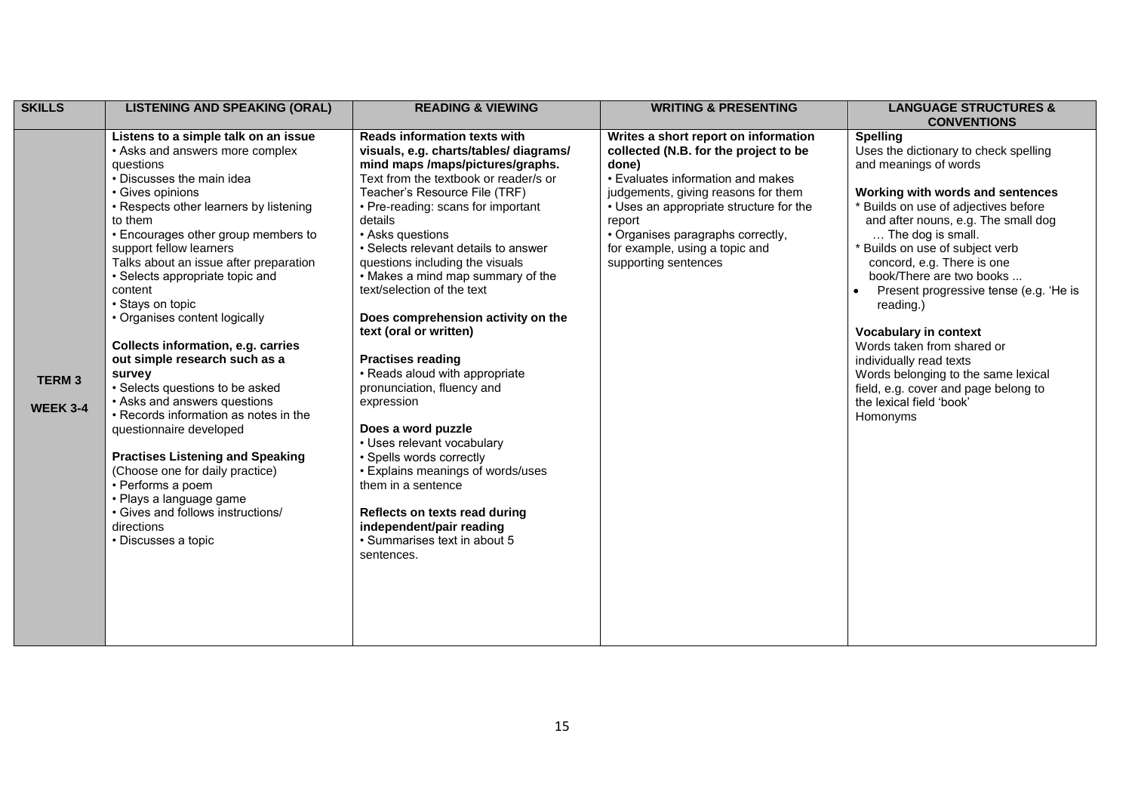| <b>SKILLS</b>                   | <b>LISTENING AND SPEAKING (ORAL)</b>                                                                                                                                                                                                                                                                                                                                                                                                                                                                                                                                                                                                                                                                                                                                                                                                             | <b>READING &amp; VIEWING</b>                                                                                                                                                                                                                                                                                                                                                                                                                                                                                                                                                                                                                                                                                                                                                                                                                   | <b>WRITING &amp; PRESENTING</b>                                                                                                                                                                                                                                                                                        | <b>LANGUAGE STRUCTURES &amp;</b><br><b>CONVENTIONS</b>                                                                                                                                                                                                                                                                                                                                                                                                                                                                                                                                                 |
|---------------------------------|--------------------------------------------------------------------------------------------------------------------------------------------------------------------------------------------------------------------------------------------------------------------------------------------------------------------------------------------------------------------------------------------------------------------------------------------------------------------------------------------------------------------------------------------------------------------------------------------------------------------------------------------------------------------------------------------------------------------------------------------------------------------------------------------------------------------------------------------------|------------------------------------------------------------------------------------------------------------------------------------------------------------------------------------------------------------------------------------------------------------------------------------------------------------------------------------------------------------------------------------------------------------------------------------------------------------------------------------------------------------------------------------------------------------------------------------------------------------------------------------------------------------------------------------------------------------------------------------------------------------------------------------------------------------------------------------------------|------------------------------------------------------------------------------------------------------------------------------------------------------------------------------------------------------------------------------------------------------------------------------------------------------------------------|--------------------------------------------------------------------------------------------------------------------------------------------------------------------------------------------------------------------------------------------------------------------------------------------------------------------------------------------------------------------------------------------------------------------------------------------------------------------------------------------------------------------------------------------------------------------------------------------------------|
| <b>TERM3</b><br><b>WEEK 3-4</b> | Listens to a simple talk on an issue<br>• Asks and answers more complex<br>questions<br>• Discusses the main idea<br>• Gives opinions<br>• Respects other learners by listening<br>to them<br>• Encourages other group members to<br>support fellow learners<br>Talks about an issue after preparation<br>• Selects appropriate topic and<br>content<br>• Stays on topic<br>• Organises content logically<br><b>Collects information, e.g. carries</b><br>out simple research such as a<br>survey<br>• Selects questions to be asked<br>• Asks and answers questions<br>• Records information as notes in the<br>questionnaire developed<br><b>Practises Listening and Speaking</b><br>(Choose one for daily practice)<br>• Performs a poem<br>• Plays a language game<br>• Gives and follows instructions/<br>directions<br>• Discusses a topic | <b>Reads information texts with</b><br>visuals, e.g. charts/tables/ diagrams/<br>mind maps /maps/pictures/graphs.<br>Text from the textbook or reader/s or<br>Teacher's Resource File (TRF)<br>• Pre-reading: scans for important<br>details<br>• Asks questions<br>• Selects relevant details to answer<br>questions including the visuals<br>• Makes a mind map summary of the<br>text/selection of the text<br>Does comprehension activity on the<br>text (oral or written)<br><b>Practises reading</b><br>• Reads aloud with appropriate<br>pronunciation, fluency and<br>expression<br>Does a word puzzle<br>• Uses relevant vocabulary<br>• Spells words correctly<br>• Explains meanings of words/uses<br>them in a sentence<br>Reflects on texts read during<br>independent/pair reading<br>• Summarises text in about 5<br>sentences. | Writes a short report on information<br>collected (N.B. for the project to be<br>done)<br>• Evaluates information and makes<br>judgements, giving reasons for them<br>• Uses an appropriate structure for the<br>report<br>• Organises paragraphs correctly,<br>for example, using a topic and<br>supporting sentences | <b>Spelling</b><br>Uses the dictionary to check spelling<br>and meanings of words<br>Working with words and sentences<br>* Builds on use of adjectives before<br>and after nouns, e.g. The small dog<br>$\ldots$ The dog is small.<br>* Builds on use of subject verb<br>concord, e.g. There is one<br>book/There are two books<br>Present progressive tense (e.g. 'He is<br>reading.)<br><b>Vocabulary in context</b><br>Words taken from shared or<br>individually read texts<br>Words belonging to the same lexical<br>field, e.g. cover and page belong to<br>the lexical field 'book'<br>Homonyms |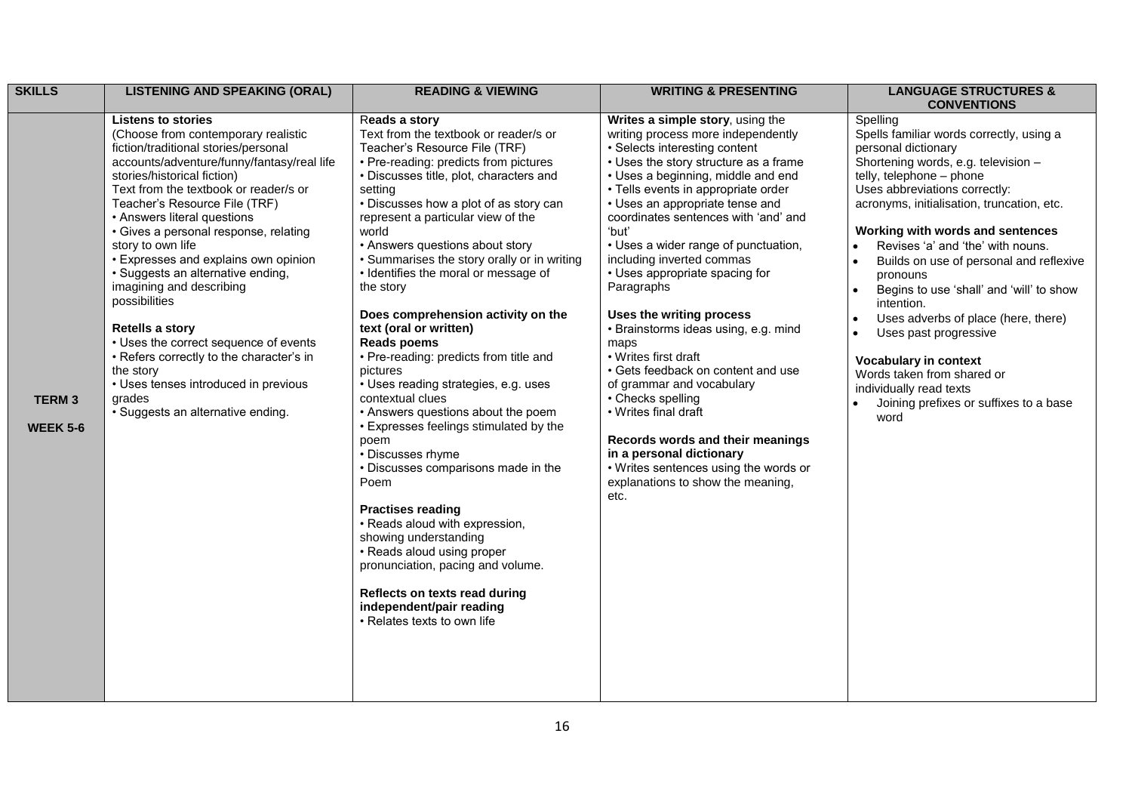| <b>SKILLS</b>                   | <b>LISTENING AND SPEAKING (ORAL)</b>                                                                                                                                                                                                                                                                                                                                                                                                                                                                                                                                                                                                                                         | <b>READING &amp; VIEWING</b>                                                                                                                                                                                                                                                                                                                                                                                                                                                                                                                                                                                                                                                                                                                                                                                                                                                                                                                                                                                                    | <b>WRITING &amp; PRESENTING</b>                                                                                                                                                                                                                                                                                                                                                                                                                                                                                                                                                                                                                                                                                                                                                                                  | <b>LANGUAGE STRUCTURES &amp;</b>                                                                                                                                                                                                                                                                                                                                                                                                                                                                                                                                                                                                                             |
|---------------------------------|------------------------------------------------------------------------------------------------------------------------------------------------------------------------------------------------------------------------------------------------------------------------------------------------------------------------------------------------------------------------------------------------------------------------------------------------------------------------------------------------------------------------------------------------------------------------------------------------------------------------------------------------------------------------------|---------------------------------------------------------------------------------------------------------------------------------------------------------------------------------------------------------------------------------------------------------------------------------------------------------------------------------------------------------------------------------------------------------------------------------------------------------------------------------------------------------------------------------------------------------------------------------------------------------------------------------------------------------------------------------------------------------------------------------------------------------------------------------------------------------------------------------------------------------------------------------------------------------------------------------------------------------------------------------------------------------------------------------|------------------------------------------------------------------------------------------------------------------------------------------------------------------------------------------------------------------------------------------------------------------------------------------------------------------------------------------------------------------------------------------------------------------------------------------------------------------------------------------------------------------------------------------------------------------------------------------------------------------------------------------------------------------------------------------------------------------------------------------------------------------------------------------------------------------|--------------------------------------------------------------------------------------------------------------------------------------------------------------------------------------------------------------------------------------------------------------------------------------------------------------------------------------------------------------------------------------------------------------------------------------------------------------------------------------------------------------------------------------------------------------------------------------------------------------------------------------------------------------|
|                                 | <b>Listens to stories</b>                                                                                                                                                                                                                                                                                                                                                                                                                                                                                                                                                                                                                                                    | Reads a story                                                                                                                                                                                                                                                                                                                                                                                                                                                                                                                                                                                                                                                                                                                                                                                                                                                                                                                                                                                                                   |                                                                                                                                                                                                                                                                                                                                                                                                                                                                                                                                                                                                                                                                                                                                                                                                                  | <b>CONVENTIONS</b>                                                                                                                                                                                                                                                                                                                                                                                                                                                                                                                                                                                                                                           |
| <b>TERM3</b><br><b>WEEK 5-6</b> | (Choose from contemporary realistic<br>fiction/traditional stories/personal<br>accounts/adventure/funny/fantasy/real life<br>stories/historical fiction)<br>Text from the textbook or reader/s or<br>Teacher's Resource File (TRF)<br>• Answers literal questions<br>• Gives a personal response, relating<br>story to own life<br>• Expresses and explains own opinion<br>· Suggests an alternative ending,<br>imagining and describing<br>possibilities<br><b>Retells a story</b><br>• Uses the correct sequence of events<br>• Refers correctly to the character's in<br>the story<br>• Uses tenses introduced in previous<br>grades<br>· Suggests an alternative ending. | Text from the textbook or reader/s or<br>Teacher's Resource File (TRF)<br>• Pre-reading: predicts from pictures<br>• Discusses title, plot, characters and<br>setting<br>• Discusses how a plot of as story can<br>represent a particular view of the<br>world<br>• Answers questions about story<br>• Summarises the story orally or in writing<br>• Identifies the moral or message of<br>the story<br>Does comprehension activity on the<br>text (oral or written)<br><b>Reads poems</b><br>• Pre-reading: predicts from title and<br>pictures<br>• Uses reading strategies, e.g. uses<br>contextual clues<br>• Answers questions about the poem<br>• Expresses feelings stimulated by the<br>poem<br>• Discusses rhyme<br>• Discusses comparisons made in the<br>Poem<br><b>Practises reading</b><br>• Reads aloud with expression,<br>showing understanding<br>• Reads aloud using proper<br>pronunciation, pacing and volume.<br>Reflects on texts read during<br>independent/pair reading<br>• Relates texts to own life | Writes a simple story, using the<br>writing process more independently<br>• Selects interesting content<br>• Uses the story structure as a frame<br>• Uses a beginning, middle and end<br>• Tells events in appropriate order<br>• Uses an appropriate tense and<br>coordinates sentences with 'and' and<br>'but'<br>• Uses a wider range of punctuation,<br>including inverted commas<br>• Uses appropriate spacing for<br>Paragraphs<br>Uses the writing process<br>· Brainstorms ideas using, e.g. mind<br>maps<br>• Writes first draft<br>• Gets feedback on content and use<br>of grammar and vocabulary<br>• Checks spelling<br>• Writes final draft<br>Records words and their meanings<br>in a personal dictionary<br>• Writes sentences using the words or<br>explanations to show the meaning,<br>etc. | Spelling<br>Spells familiar words correctly, using a<br>personal dictionary<br>Shortening words, e.g. television -<br>telly, telephone - phone<br>Uses abbreviations correctly:<br>acronyms, initialisation, truncation, etc.<br>Working with words and sentences<br>Revises 'a' and 'the' with nouns.<br>$\bullet$<br>Builds on use of personal and reflexive<br>pronouns<br>Begins to use 'shall' and 'will' to show<br>intention.<br>Uses adverbs of place (here, there)<br>$\bullet$<br>Uses past progressive<br><b>Vocabulary in context</b><br>Words taken from shared or<br>individually read texts<br>Joining prefixes or suffixes to a base<br>word |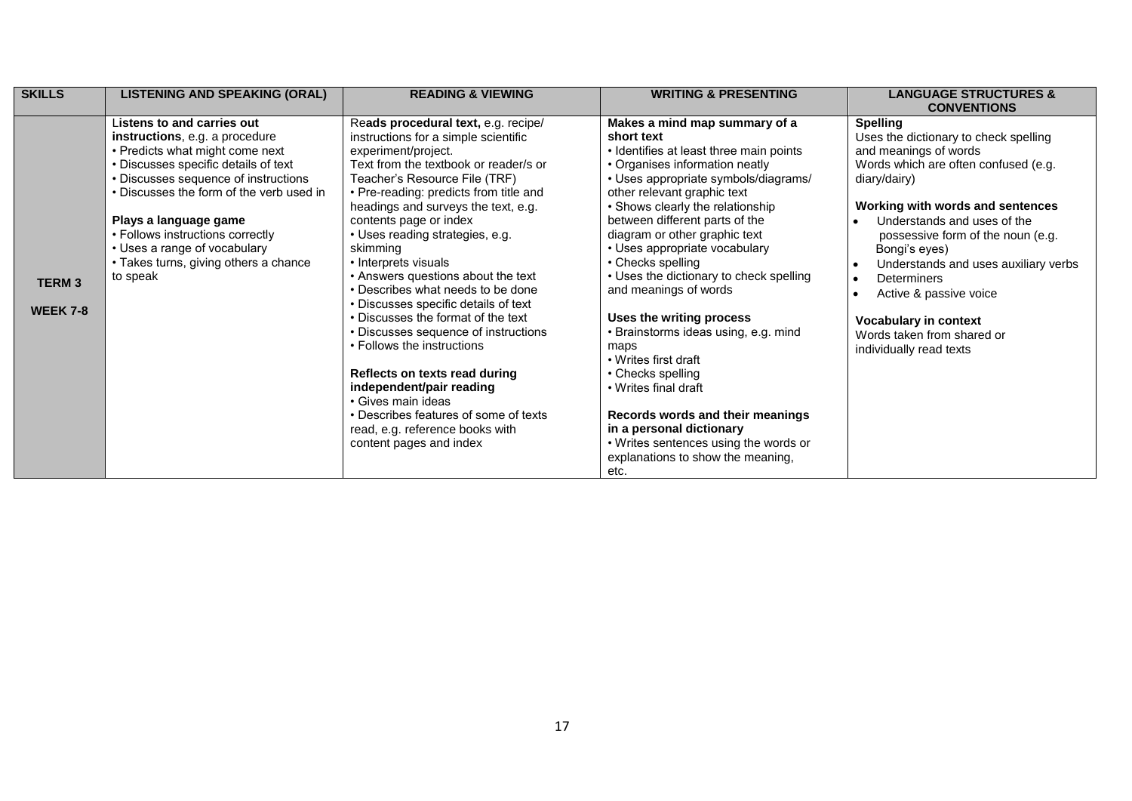| <b>SKILLS</b>                   | <b>LISTENING AND SPEAKING (ORAL)</b>                                                                                                                                                                                                                                                                                                                                          | <b>READING &amp; VIEWING</b>                                                                                                                                                                                                                                                                                                                                                                                                                                                                                                                                                                                                                                                                                                                                                            | <b>WRITING &amp; PRESENTING</b>                                                                                                                                                                                                                                                                                                                                                                                                                                                                                                                                                                                                                                                                                                         | <b>LANGUAGE STRUCTURES &amp;</b><br><b>CONVENTIONS</b>                                                                                                                                                                                                                                                                                                                                                                                                                              |
|---------------------------------|-------------------------------------------------------------------------------------------------------------------------------------------------------------------------------------------------------------------------------------------------------------------------------------------------------------------------------------------------------------------------------|-----------------------------------------------------------------------------------------------------------------------------------------------------------------------------------------------------------------------------------------------------------------------------------------------------------------------------------------------------------------------------------------------------------------------------------------------------------------------------------------------------------------------------------------------------------------------------------------------------------------------------------------------------------------------------------------------------------------------------------------------------------------------------------------|-----------------------------------------------------------------------------------------------------------------------------------------------------------------------------------------------------------------------------------------------------------------------------------------------------------------------------------------------------------------------------------------------------------------------------------------------------------------------------------------------------------------------------------------------------------------------------------------------------------------------------------------------------------------------------------------------------------------------------------------|-------------------------------------------------------------------------------------------------------------------------------------------------------------------------------------------------------------------------------------------------------------------------------------------------------------------------------------------------------------------------------------------------------------------------------------------------------------------------------------|
| <b>TERM3</b><br><b>WEEK 7-8</b> | Listens to and carries out<br>instructions, e.g. a procedure<br>• Predicts what might come next<br>• Discusses specific details of text<br>• Discusses sequence of instructions<br>• Discusses the form of the verb used in<br>Plays a language game<br>• Follows instructions correctly<br>• Uses a range of vocabulary<br>• Takes turns, giving others a chance<br>to speak | Reads procedural text, e.g. recipe/<br>instructions for a simple scientific<br>experiment/project.<br>Text from the textbook or reader/s or<br>Teacher's Resource File (TRF)<br>• Pre-reading: predicts from title and<br>headings and surveys the text, e.g.<br>contents page or index<br>• Uses reading strategies, e.g.<br>skimming<br>• Interprets visuals<br>• Answers questions about the text<br>• Describes what needs to be done<br>• Discusses specific details of text<br>• Discusses the format of the text<br>• Discusses sequence of instructions<br>• Follows the instructions<br>Reflects on texts read during<br>independent/pair reading<br>• Gives main ideas<br>• Describes features of some of texts<br>read, e.g. reference books with<br>content pages and index | Makes a mind map summary of a<br>short text<br>• Identifies at least three main points<br>• Organises information neatly<br>• Uses appropriate symbols/diagrams/<br>other relevant graphic text<br>• Shows clearly the relationship<br>between different parts of the<br>diagram or other graphic text<br>• Uses appropriate vocabulary<br>• Checks spelling<br>• Uses the dictionary to check spelling<br>and meanings of words<br>Uses the writing process<br>• Brainstorms ideas using, e.g. mind<br>maps<br>• Writes first draft<br>• Checks spelling<br>• Writes final draft<br>Records words and their meanings<br>in a personal dictionary<br>• Writes sentences using the words or<br>explanations to show the meaning,<br>etc. | <b>Spelling</b><br>Uses the dictionary to check spelling<br>and meanings of words<br>Words which are often confused (e.g.<br>diary/dairy)<br>Working with words and sentences<br>Understands and uses of the<br>possessive form of the noun (e.g.<br>Bongi's eyes)<br>Understands and uses auxiliary verbs<br>$\bullet$<br>Determiners<br>$\bullet$<br>Active & passive voice<br>$\bullet$<br><b>Vocabulary in context</b><br>Words taken from shared or<br>individually read texts |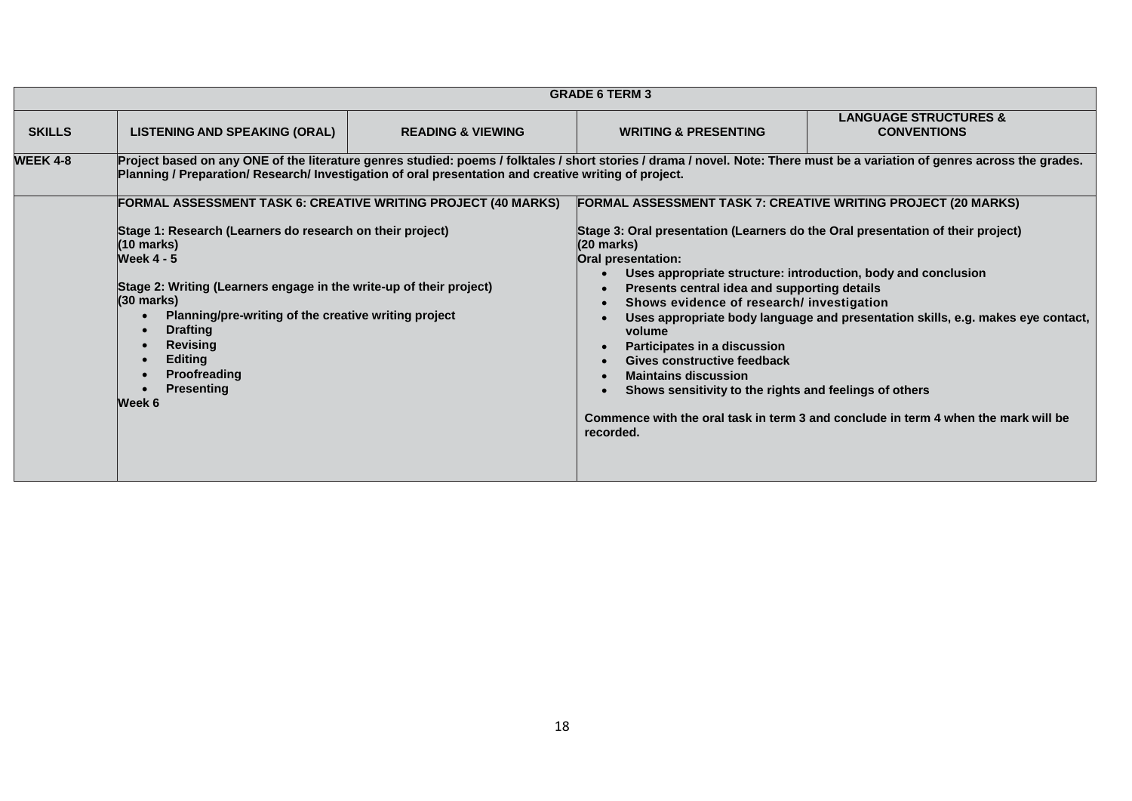|                 | <b>GRADE 6 TERM 3</b>                                                                                                                                                                                                                                                                                                                                                                                                              |                              |                                                                                                                                                                                                                                                                                                                                                                                                                                                                                                                                                                                                                        |                                                                                                                                                                       |
|-----------------|------------------------------------------------------------------------------------------------------------------------------------------------------------------------------------------------------------------------------------------------------------------------------------------------------------------------------------------------------------------------------------------------------------------------------------|------------------------------|------------------------------------------------------------------------------------------------------------------------------------------------------------------------------------------------------------------------------------------------------------------------------------------------------------------------------------------------------------------------------------------------------------------------------------------------------------------------------------------------------------------------------------------------------------------------------------------------------------------------|-----------------------------------------------------------------------------------------------------------------------------------------------------------------------|
| <b>SKILLS</b>   | <b>LISTENING AND SPEAKING (ORAL)</b>                                                                                                                                                                                                                                                                                                                                                                                               | <b>READING &amp; VIEWING</b> | <b>WRITING &amp; PRESENTING</b>                                                                                                                                                                                                                                                                                                                                                                                                                                                                                                                                                                                        | <b>LANGUAGE STRUCTURES &amp;</b><br><b>CONVENTIONS</b>                                                                                                                |
| <b>WEEK 4-8</b> | Project based on any ONE of the literature genres studied: poems / folktales / short stories / drama / novel. Note: There must be a variation of genres across the grades.<br>Planning / Preparation/ Research/ Investigation of oral presentation and creative writing of project.                                                                                                                                                |                              |                                                                                                                                                                                                                                                                                                                                                                                                                                                                                                                                                                                                                        |                                                                                                                                                                       |
|                 | <b>FORMAL ASSESSMENT TASK 6: CREATIVE WRITING PROJECT (40 MARKS)</b><br>Stage 1: Research (Learners do research on their project)<br>(10 marks)<br><b>Week 4 - 5</b><br>Stage 2: Writing (Learners engage in the write-up of their project)<br>$(30 \text{ marks})$<br>Planning/pre-writing of the creative writing project<br><b>Drafting</b><br><b>Revising</b><br><b>Editing</b><br>Proofreading<br><b>Presenting</b><br>Week 6 |                              | <b>FORMAL ASSESSMENT TASK 7: CREATIVE WRITING PROJECT (20 MARKS)</b><br>Stage 3: Oral presentation (Learners do the Oral presentation of their project)<br>(20 marks)<br>Oral presentation:<br>Uses appropriate structure: introduction, body and conclusion<br>$\bullet$<br>Presents central idea and supporting details<br>$\bullet$<br>Shows evidence of research/ investigation<br>$\bullet$<br>$\bullet$<br>volume<br>Participates in a discussion<br>$\bullet$<br>Gives constructive feedback<br><b>Maintains discussion</b><br>$\bullet$<br>Shows sensitivity to the rights and feelings of others<br>recorded. | Uses appropriate body language and presentation skills, e.g. makes eye contact,<br>Commence with the oral task in term 3 and conclude in term 4 when the mark will be |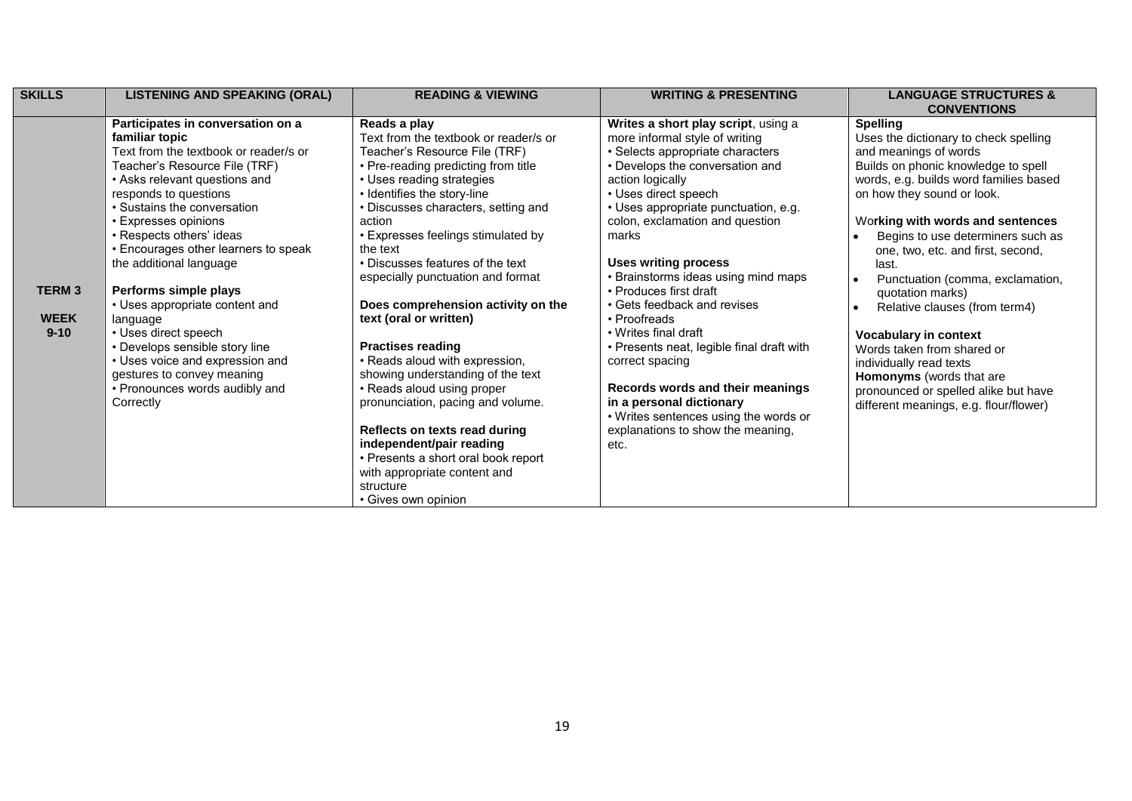| <b>SKILLS</b> | <b>LISTENING AND SPEAKING (ORAL)</b>  | <b>READING &amp; VIEWING</b>          | <b>WRITING &amp; PRESENTING</b>           | <b>LANGUAGE STRUCTURES &amp;</b>              |
|---------------|---------------------------------------|---------------------------------------|-------------------------------------------|-----------------------------------------------|
|               |                                       |                                       |                                           | <b>CONVENTIONS</b>                            |
|               | Participates in conversation on a     | Reads a play                          | Writes a short play script, using a       | <b>Spelling</b>                               |
|               | familiar topic                        | Text from the textbook or reader/s or | more informal style of writing            | Uses the dictionary to check spelling         |
|               | Text from the textbook or reader/s or | Teacher's Resource File (TRF)         | · Selects appropriate characters          | and meanings of words                         |
|               | Teacher's Resource File (TRF)         | • Pre-reading predicting from title   | • Develops the conversation and           | Builds on phonic knowledge to spell           |
|               | • Asks relevant questions and         | • Uses reading strategies             | action logically                          | words, e.g. builds word families based        |
|               | responds to questions                 | • Identifies the story-line           | • Uses direct speech                      | on how they sound or look.                    |
|               | • Sustains the conversation           | • Discusses characters, setting and   | • Uses appropriate punctuation, e.g.      |                                               |
|               | • Expresses opinions                  | action                                | colon, exclamation and question           | Working with words and sentences              |
|               | • Respects others' ideas              | • Expresses feelings stimulated by    | marks                                     | Begins to use determiners such as             |
|               | • Encourages other learners to speak  | the text                              |                                           | one, two, etc. and first, second,             |
|               | the additional language               | • Discusses features of the text      | <b>Uses writing process</b>               | last.                                         |
|               |                                       | especially punctuation and format     | • Brainstorms ideas using mind maps       | Punctuation (comma, exclamation,<br>$\bullet$ |
| <b>TERM3</b>  | Performs simple plays                 |                                       | • Produces first draft                    | quotation marks)                              |
|               | • Uses appropriate content and        | Does comprehension activity on the    | • Gets feedback and revises               | Relative clauses (from term4)<br>$\bullet$    |
| <b>WEEK</b>   | language                              | text (oral or written)                | • Proofreads                              |                                               |
| $9 - 10$      | • Uses direct speech                  |                                       | • Writes final draft                      | <b>Vocabulary in context</b>                  |
|               | • Develops sensible story line        | <b>Practises reading</b>              | • Presents neat, legible final draft with | Words taken from shared or                    |
|               | • Uses voice and expression and       | • Reads aloud with expression,        | correct spacing                           | individually read texts                       |
|               | gestures to convey meaning            | showing understanding of the text     |                                           | <b>Homonyms</b> (words that are               |
|               | • Pronounces words audibly and        | • Reads aloud using proper            | Records words and their meanings          | pronounced or spelled alike but have          |
|               | Correctly                             | pronunciation, pacing and volume.     | in a personal dictionary                  | different meanings, e.g. flour/flower)        |
|               |                                       |                                       | • Writes sentences using the words or     |                                               |
|               |                                       | Reflects on texts read during         | explanations to show the meaning.         |                                               |
|               |                                       | independent/pair reading              | etc.                                      |                                               |
|               |                                       | • Presents a short oral book report   |                                           |                                               |
|               |                                       | with appropriate content and          |                                           |                                               |
|               |                                       | structure                             |                                           |                                               |
|               |                                       | • Gives own opinion                   |                                           |                                               |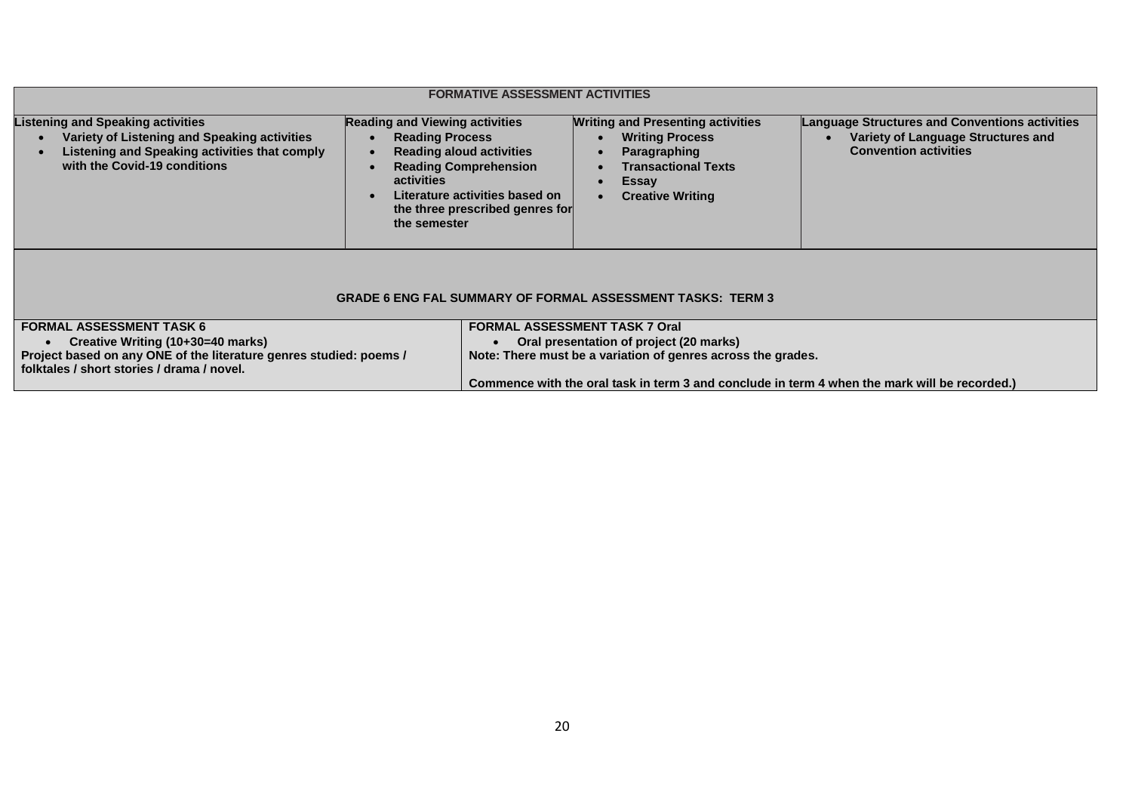|                                                                                                                                                                                          | <b>FORMATIVE ASSESSMENT ACTIVITIES</b>                                                                                                                                                                                                |                                                                                                                                                                                                                                                  |                                                                                                                             |  |  |
|------------------------------------------------------------------------------------------------------------------------------------------------------------------------------------------|---------------------------------------------------------------------------------------------------------------------------------------------------------------------------------------------------------------------------------------|--------------------------------------------------------------------------------------------------------------------------------------------------------------------------------------------------------------------------------------------------|-----------------------------------------------------------------------------------------------------------------------------|--|--|
| <b>Listening and Speaking activities</b><br>Variety of Listening and Speaking activities<br>Listening and Speaking activities that comply<br>with the Covid-19 conditions                | <b>Reading and Viewing activities</b><br><b>Reading Process</b><br><b>Reading aloud activities</b><br><b>Reading Comprehension</b><br>activities<br>Literature activities based on<br>the three prescribed genres for<br>the semester | <b>Writing and Presenting activities</b><br><b>Writing Process</b><br>Paragraphing<br><b>Transactional Texts</b><br><b>Essay</b><br><b>Creative Writing</b>                                                                                      | <b>Language Structures and Conventions activities</b><br>Variety of Language Structures and<br><b>Convention activities</b> |  |  |
| <b>GRADE 6 ENG FAL SUMMARY OF FORMAL ASSESSMENT TASKS: TERM 3</b>                                                                                                                        |                                                                                                                                                                                                                                       |                                                                                                                                                                                                                                                  |                                                                                                                             |  |  |
| <b>FORMAL ASSESSMENT TASK 6</b><br>Creative Writing (10+30=40 marks)<br>Project based on any ONE of the literature genres studied: poems /<br>folktales / short stories / drama / novel. |                                                                                                                                                                                                                                       | <b>FORMAL ASSESSMENT TASK 7 Oral</b><br>Oral presentation of project (20 marks)<br>Note: There must be a variation of genres across the grades.<br>Commence with the oral task in term 3 and conclude in term 4 when the mark will be recorded.) |                                                                                                                             |  |  |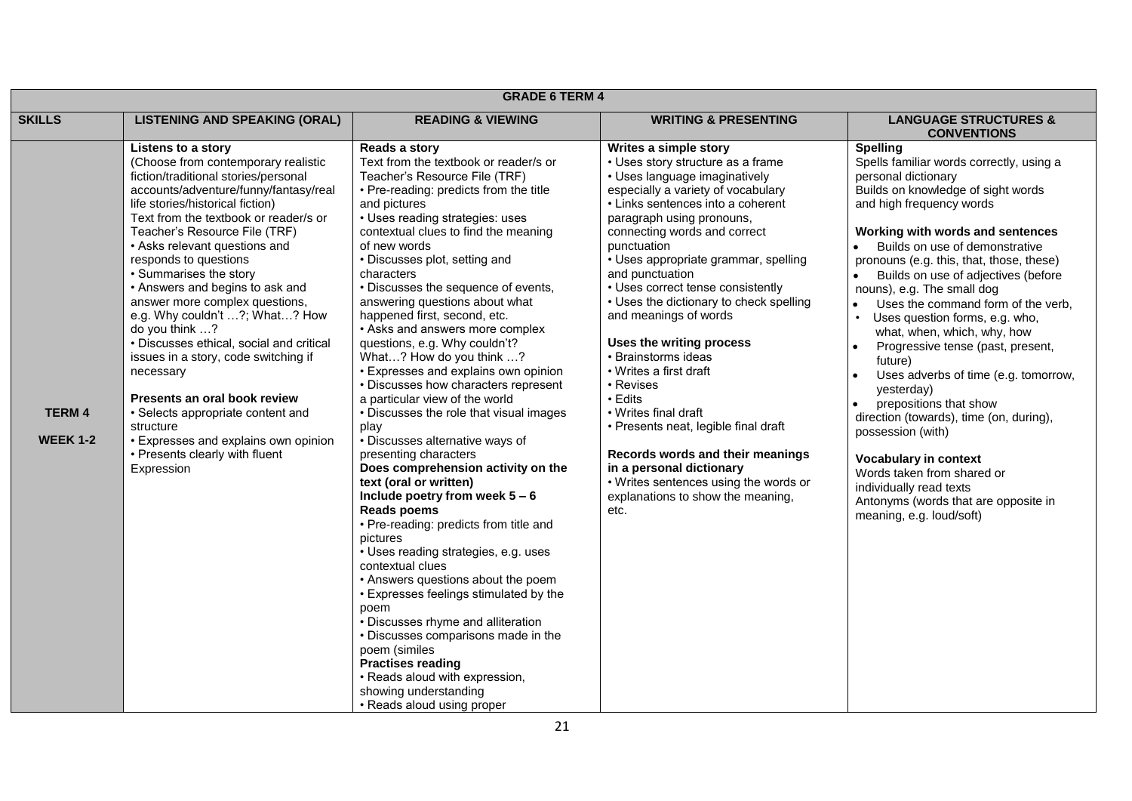| <b>GRADE 6 TERM 4</b>           |                                                                                                                                                                                                                                                                                                                                                                                                                                                                                                                                                                                                                                                                                                                                                  |                                                                                                                                                                                                                                                                                                                                                                                                                                                                                                                                                                                                                                                                                                                                                                                                                                                                                                                                                                                                                                                                                                                                                                                                                                                                                              |                                                                                                                                                                                                                                                                                                                                                                                                                                                                                                                                                                                                                                                                                                                                                   |                                                                                                                                                                                                                                                                                                                                                                                                                                                                                                                                                                                                                                                                                                                                                                                                                                                        |
|---------------------------------|--------------------------------------------------------------------------------------------------------------------------------------------------------------------------------------------------------------------------------------------------------------------------------------------------------------------------------------------------------------------------------------------------------------------------------------------------------------------------------------------------------------------------------------------------------------------------------------------------------------------------------------------------------------------------------------------------------------------------------------------------|----------------------------------------------------------------------------------------------------------------------------------------------------------------------------------------------------------------------------------------------------------------------------------------------------------------------------------------------------------------------------------------------------------------------------------------------------------------------------------------------------------------------------------------------------------------------------------------------------------------------------------------------------------------------------------------------------------------------------------------------------------------------------------------------------------------------------------------------------------------------------------------------------------------------------------------------------------------------------------------------------------------------------------------------------------------------------------------------------------------------------------------------------------------------------------------------------------------------------------------------------------------------------------------------|---------------------------------------------------------------------------------------------------------------------------------------------------------------------------------------------------------------------------------------------------------------------------------------------------------------------------------------------------------------------------------------------------------------------------------------------------------------------------------------------------------------------------------------------------------------------------------------------------------------------------------------------------------------------------------------------------------------------------------------------------|--------------------------------------------------------------------------------------------------------------------------------------------------------------------------------------------------------------------------------------------------------------------------------------------------------------------------------------------------------------------------------------------------------------------------------------------------------------------------------------------------------------------------------------------------------------------------------------------------------------------------------------------------------------------------------------------------------------------------------------------------------------------------------------------------------------------------------------------------------|
| <b>SKILLS</b>                   | <b>LISTENING AND SPEAKING (ORAL)</b>                                                                                                                                                                                                                                                                                                                                                                                                                                                                                                                                                                                                                                                                                                             | <b>READING &amp; VIEWING</b>                                                                                                                                                                                                                                                                                                                                                                                                                                                                                                                                                                                                                                                                                                                                                                                                                                                                                                                                                                                                                                                                                                                                                                                                                                                                 | <b>WRITING &amp; PRESENTING</b>                                                                                                                                                                                                                                                                                                                                                                                                                                                                                                                                                                                                                                                                                                                   | <b>LANGUAGE STRUCTURES &amp;</b><br><b>CONVENTIONS</b>                                                                                                                                                                                                                                                                                                                                                                                                                                                                                                                                                                                                                                                                                                                                                                                                 |
| <b>TERM4</b><br><b>WEEK 1-2</b> | Listens to a story<br>(Choose from contemporary realistic<br>fiction/traditional stories/personal<br>accounts/adventure/funny/fantasy/real<br>life stories/historical fiction)<br>Text from the textbook or reader/s or<br>Teacher's Resource File (TRF)<br>• Asks relevant questions and<br>responds to questions<br>• Summarises the story<br>• Answers and begins to ask and<br>answer more complex questions,<br>e.g. Why couldn't ?; What? How<br>do you think ?<br>• Discusses ethical, social and critical<br>issues in a story, code switching if<br>necessary<br>Presents an oral book review<br>· Selects appropriate content and<br>structure<br>• Expresses and explains own opinion<br>• Presents clearly with fluent<br>Expression | Reads a story<br>Text from the textbook or reader/s or<br>Teacher's Resource File (TRF)<br>• Pre-reading: predicts from the title<br>and pictures<br>• Uses reading strategies: uses<br>contextual clues to find the meaning<br>of new words<br>• Discusses plot, setting and<br>characters<br>• Discusses the sequence of events,<br>answering questions about what<br>happened first, second, etc.<br>• Asks and answers more complex<br>questions, e.g. Why couldn't?<br>What? How do you think ?<br>• Expresses and explains own opinion<br>• Discusses how characters represent<br>a particular view of the world<br>• Discusses the role that visual images<br>play<br>• Discusses alternative ways of<br>presenting characters<br>Does comprehension activity on the<br>text (oral or written)<br>Include poetry from week $5 - 6$<br><b>Reads poems</b><br>• Pre-reading: predicts from title and<br>pictures<br>· Uses reading strategies, e.g. uses<br>contextual clues<br>• Answers questions about the poem<br>• Expresses feelings stimulated by the<br>poem<br>• Discusses rhyme and alliteration<br>• Discusses comparisons made in the<br>poem (similes<br><b>Practises reading</b><br>• Reads aloud with expression,<br>showing understanding<br>• Reads aloud using proper | Writes a simple story<br>• Uses story structure as a frame<br>• Uses language imaginatively<br>especially a variety of vocabulary<br>• Links sentences into a coherent<br>paragraph using pronouns,<br>connecting words and correct<br>punctuation<br>• Uses appropriate grammar, spelling<br>and punctuation<br>• Uses correct tense consistently<br>• Uses the dictionary to check spelling<br>and meanings of words<br>Uses the writing process<br>• Brainstorms ideas<br>• Writes a first draft<br>• Revises<br>• Edits<br>• Writes final draft<br>• Presents neat, legible final draft<br>Records words and their meanings<br>in a personal dictionary<br>• Writes sentences using the words or<br>explanations to show the meaning,<br>etc. | <b>Spelling</b><br>Spells familiar words correctly, using a<br>personal dictionary<br>Builds on knowledge of sight words<br>and high frequency words<br>Working with words and sentences<br>Builds on use of demonstrative<br>$\bullet$<br>pronouns (e.g. this, that, those, these)<br>Builds on use of adjectives (before<br>nouns), e.g. The small dog<br>Uses the command form of the verb,<br>$\bullet$<br>Uses question forms, e.g. who,<br>what, when, which, why, how<br>Progressive tense (past, present,<br>$\bullet$<br>future)<br>Uses adverbs of time (e.g. tomorrow,<br>yesterday)<br>prepositions that show<br>direction (towards), time (on, during),<br>possession (with)<br><b>Vocabulary in context</b><br>Words taken from shared or<br>individually read texts<br>Antonyms (words that are opposite in<br>meaning, e.g. loud/soft) |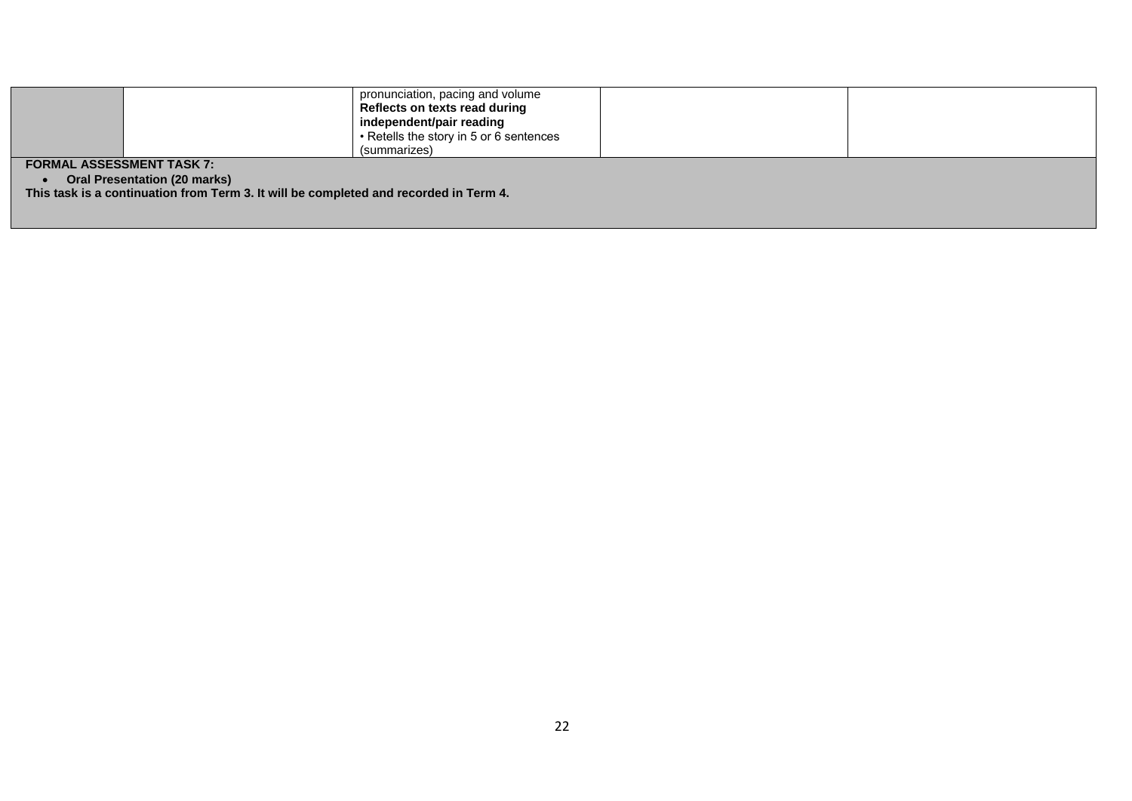| <b>FORMAL ASSESSMENT TASK 7:</b>                                                                                             |  | Reflects on texts read during<br>independent/pair reading<br>• Retells the story in 5 or 6 sentences<br>(summarizes) |  |  |
|------------------------------------------------------------------------------------------------------------------------------|--|----------------------------------------------------------------------------------------------------------------------|--|--|
| <b>Oral Presentation (20 marks)</b><br>This task is a continuation from Term 3. It will be completed and recorded in Term 4. |  |                                                                                                                      |  |  |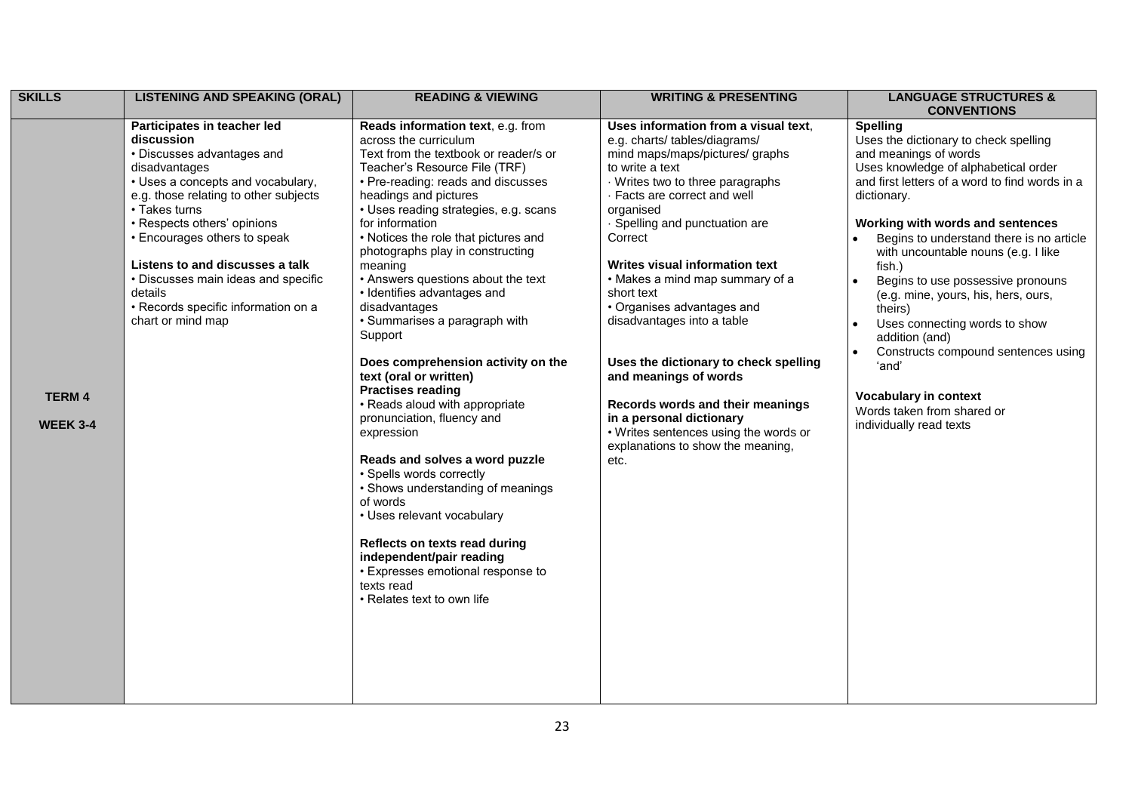| <b>SKILLS</b>                   | <b>LISTENING AND SPEAKING (ORAL)</b>                                                                                                                                                                                                                                                                                                                                                                    | <b>READING &amp; VIEWING</b>                                                                                                                                                                                                                                                                                                                                                                                                                                                                                                                                                                                                                                                                                                                                                                                                                                                                                                                                  | <b>WRITING &amp; PRESENTING</b>                                                                                                                                                                                                                                                                                                                                                                                                                                                                                                                                                                                               | <b>LANGUAGE STRUCTURES &amp;</b><br><b>CONVENTIONS</b>                                                                                                                                                                                                                                                                                                                                                                                                                                                                                                                                                                      |
|---------------------------------|---------------------------------------------------------------------------------------------------------------------------------------------------------------------------------------------------------------------------------------------------------------------------------------------------------------------------------------------------------------------------------------------------------|---------------------------------------------------------------------------------------------------------------------------------------------------------------------------------------------------------------------------------------------------------------------------------------------------------------------------------------------------------------------------------------------------------------------------------------------------------------------------------------------------------------------------------------------------------------------------------------------------------------------------------------------------------------------------------------------------------------------------------------------------------------------------------------------------------------------------------------------------------------------------------------------------------------------------------------------------------------|-------------------------------------------------------------------------------------------------------------------------------------------------------------------------------------------------------------------------------------------------------------------------------------------------------------------------------------------------------------------------------------------------------------------------------------------------------------------------------------------------------------------------------------------------------------------------------------------------------------------------------|-----------------------------------------------------------------------------------------------------------------------------------------------------------------------------------------------------------------------------------------------------------------------------------------------------------------------------------------------------------------------------------------------------------------------------------------------------------------------------------------------------------------------------------------------------------------------------------------------------------------------------|
| <b>TERM4</b><br><b>WEEK 3-4</b> | Participates in teacher led<br>discussion<br>• Discusses advantages and<br>disadvantages<br>• Uses a concepts and vocabulary,<br>e.g. those relating to other subjects<br>• Takes turns<br>• Respects others' opinions<br>• Encourages others to speak<br>Listens to and discusses a talk<br>• Discusses main ideas and specific<br>details<br>• Records specific information on a<br>chart or mind map | Reads information text, e.g. from<br>across the curriculum<br>Text from the textbook or reader/s or<br>Teacher's Resource File (TRF)<br>• Pre-reading: reads and discusses<br>headings and pictures<br>• Uses reading strategies, e.g. scans<br>for information<br>• Notices the role that pictures and<br>photographs play in constructing<br>meaning<br>• Answers questions about the text<br>· Identifies advantages and<br>disadvantages<br>• Summarises a paragraph with<br>Support<br>Does comprehension activity on the<br>text (oral or written)<br><b>Practises reading</b><br>• Reads aloud with appropriate<br>pronunciation, fluency and<br>expression<br>Reads and solves a word puzzle<br>• Spells words correctly<br>• Shows understanding of meanings<br>of words<br>• Uses relevant vocabulary<br>Reflects on texts read during<br>independent/pair reading<br>• Expresses emotional response to<br>texts read<br>• Relates text to own life | Uses information from a visual text,<br>e.g. charts/tables/diagrams/<br>mind maps/maps/pictures/ graphs<br>to write a text<br>Writes two to three paragraphs<br>· Facts are correct and well<br>organised<br>· Spelling and punctuation are<br>Correct<br>Writes visual information text<br>• Makes a mind map summary of a<br>short text<br>• Organises advantages and<br>disadvantages into a table<br>Uses the dictionary to check spelling<br>and meanings of words<br>Records words and their meanings<br>in a personal dictionary<br>• Writes sentences using the words or<br>explanations to show the meaning,<br>etc. | <b>Spelling</b><br>Uses the dictionary to check spelling<br>and meanings of words<br>Uses knowledge of alphabetical order<br>and first letters of a word to find words in a<br>dictionary.<br>Working with words and sentences<br>Begins to understand there is no article<br>with uncountable nouns (e.g. I like<br>fish.)<br>Begins to use possessive pronouns<br>$\bullet$<br>(e.g. mine, yours, his, hers, ours,<br>theirs)<br>Uses connecting words to show<br>addition (and)<br>Constructs compound sentences using<br>'and'<br><b>Vocabulary in context</b><br>Words taken from shared or<br>individually read texts |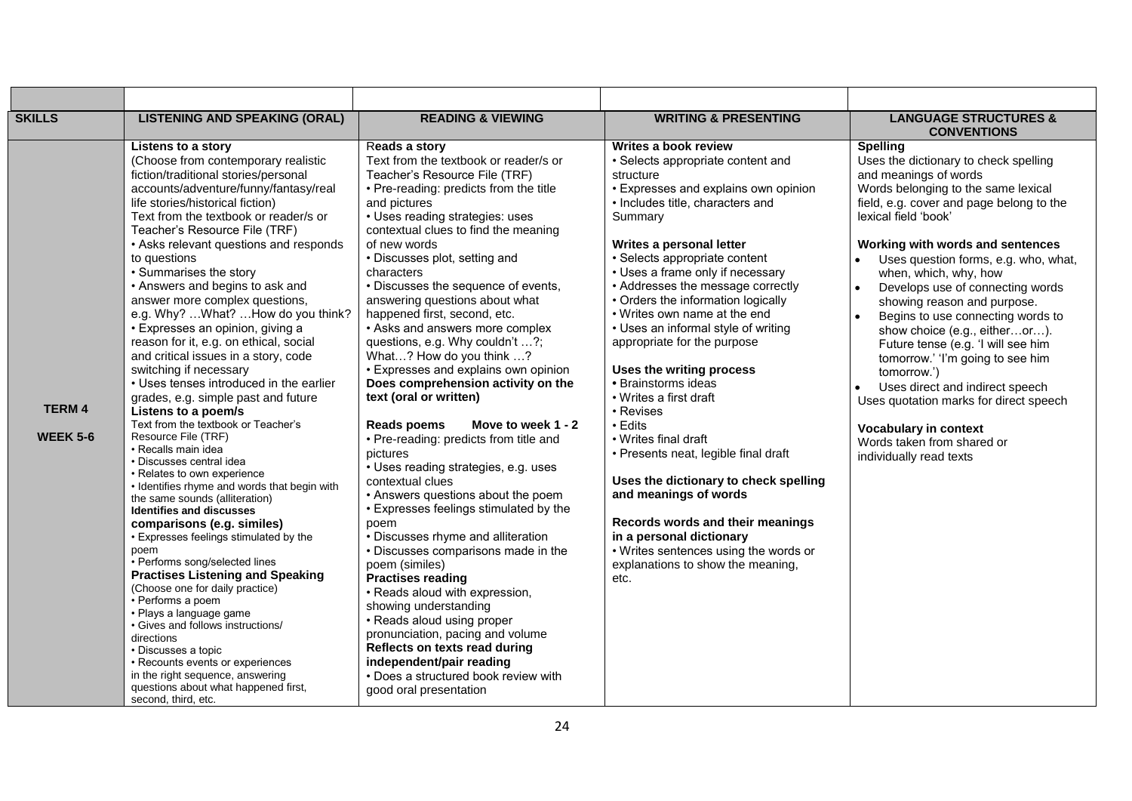| <b>SKILLS</b>                   | <b>LISTENING AND SPEAKING (ORAL)</b>                                                                                                                                                                                                                                                                                                                                                                                                                                                                                                                                                                                                                                                                                                                                                                                                                                                                                                                                                                                                                                                                                                                                                                                                                                                                                                                                                                                                                    | <b>READING &amp; VIEWING</b>                                                                                                                                                                                                                                                                                                                                                                                                                                                                                                                                                                                                                                                                                                                                                                                                                                                                                                                                                                                                                                                                                                                                                                                                                                | <b>WRITING &amp; PRESENTING</b>                                                                                                                                                                                                                                                                                                                                                                                                                                                                                                                                                                                                                                                                                                                                                                                                                    | <b>LANGUAGE STRUCTURES &amp;</b><br><b>CONVENTIONS</b>                                                                                                                                                                                                                                                                                                                                                                                                                                                                                                                                                                                                                                                                              |
|---------------------------------|---------------------------------------------------------------------------------------------------------------------------------------------------------------------------------------------------------------------------------------------------------------------------------------------------------------------------------------------------------------------------------------------------------------------------------------------------------------------------------------------------------------------------------------------------------------------------------------------------------------------------------------------------------------------------------------------------------------------------------------------------------------------------------------------------------------------------------------------------------------------------------------------------------------------------------------------------------------------------------------------------------------------------------------------------------------------------------------------------------------------------------------------------------------------------------------------------------------------------------------------------------------------------------------------------------------------------------------------------------------------------------------------------------------------------------------------------------|-------------------------------------------------------------------------------------------------------------------------------------------------------------------------------------------------------------------------------------------------------------------------------------------------------------------------------------------------------------------------------------------------------------------------------------------------------------------------------------------------------------------------------------------------------------------------------------------------------------------------------------------------------------------------------------------------------------------------------------------------------------------------------------------------------------------------------------------------------------------------------------------------------------------------------------------------------------------------------------------------------------------------------------------------------------------------------------------------------------------------------------------------------------------------------------------------------------------------------------------------------------|----------------------------------------------------------------------------------------------------------------------------------------------------------------------------------------------------------------------------------------------------------------------------------------------------------------------------------------------------------------------------------------------------------------------------------------------------------------------------------------------------------------------------------------------------------------------------------------------------------------------------------------------------------------------------------------------------------------------------------------------------------------------------------------------------------------------------------------------------|-------------------------------------------------------------------------------------------------------------------------------------------------------------------------------------------------------------------------------------------------------------------------------------------------------------------------------------------------------------------------------------------------------------------------------------------------------------------------------------------------------------------------------------------------------------------------------------------------------------------------------------------------------------------------------------------------------------------------------------|
| <b>TERM4</b><br><b>WEEK 5-6</b> | Listens to a story<br>(Choose from contemporary realistic<br>fiction/traditional stories/personal<br>accounts/adventure/funny/fantasy/real<br>life stories/historical fiction)<br>Text from the textbook or reader/s or<br>Teacher's Resource File (TRF)<br>• Asks relevant questions and responds<br>to questions<br>• Summarises the story<br>• Answers and begins to ask and<br>answer more complex questions,<br>e.g. Why?  What?  How do you think?<br>• Expresses an opinion, giving a<br>reason for it, e.g. on ethical, social<br>and critical issues in a story, code<br>switching if necessary<br>• Uses tenses introduced in the earlier<br>grades, e.g. simple past and future<br>Listens to a poem/s<br>Text from the textbook or Teacher's<br>Resource File (TRF)<br>• Recalls main idea<br>· Discusses central idea<br>• Relates to own experience<br>• Identifies rhyme and words that begin with<br>the same sounds (alliteration)<br><b>Identifies and discusses</b><br>comparisons (e.g. similes)<br>• Expresses feelings stimulated by the<br>poem<br>• Performs song/selected lines<br><b>Practises Listening and Speaking</b><br>(Choose one for daily practice)<br>• Performs a poem<br>· Plays a language game<br>· Gives and follows instructions/<br>directions<br>• Discusses a topic<br>• Recounts events or experiences<br>in the right sequence, answering<br>questions about what happened first,<br>second, third, etc. | Reads a story<br>Text from the textbook or reader/s or<br>Teacher's Resource File (TRF)<br>• Pre-reading: predicts from the title<br>and pictures<br>• Uses reading strategies: uses<br>contextual clues to find the meaning<br>of new words<br>• Discusses plot, setting and<br>characters<br>• Discusses the sequence of events,<br>answering questions about what<br>happened first, second, etc.<br>• Asks and answers more complex<br>questions, e.g. Why couldn't ?;<br>What? How do you think ?<br>• Expresses and explains own opinion<br>Does comprehension activity on the<br>text (oral or written)<br>Move to week 1 - 2<br><b>Reads poems</b><br>• Pre-reading: predicts from title and<br>pictures<br>• Uses reading strategies, e.g. uses<br>contextual clues<br>• Answers questions about the poem<br>• Expresses feelings stimulated by the<br>poem<br>• Discusses rhyme and alliteration<br>• Discusses comparisons made in the<br>poem (similes)<br><b>Practises reading</b><br>• Reads aloud with expression,<br>showing understanding<br>• Reads aloud using proper<br>pronunciation, pacing and volume<br>Reflects on texts read during<br>independent/pair reading<br>• Does a structured book review with<br>good oral presentation | Writes a book review<br>• Selects appropriate content and<br>structure<br>• Expresses and explains own opinion<br>• Includes title, characters and<br>Summary<br>Writes a personal letter<br>• Selects appropriate content<br>• Uses a frame only if necessary<br>• Addresses the message correctly<br>• Orders the information logically<br>• Writes own name at the end<br>• Uses an informal style of writing<br>appropriate for the purpose<br>Uses the writing process<br>• Brainstorms ideas<br>• Writes a first draft<br>• Revises<br>$\cdot$ Edits<br>• Writes final draft<br>• Presents neat, legible final draft<br>Uses the dictionary to check spelling<br>and meanings of words<br>Records words and their meanings<br>in a personal dictionary<br>• Writes sentences using the words or<br>explanations to show the meaning,<br>etc. | <b>Spelling</b><br>Uses the dictionary to check spelling<br>and meanings of words<br>Words belonging to the same lexical<br>field, e.g. cover and page belong to the<br>lexical field 'book'<br>Working with words and sentences<br>Uses question forms, e.g. who, what,<br>when, which, why, how<br>Develops use of connecting words<br>$\bullet$<br>showing reason and purpose.<br>Begins to use connecting words to<br>$\bullet$<br>show choice (e.g., eitheror).<br>Future tense (e.g. 'I will see him<br>tomorrow.' 'I'm going to see him<br>tomorrow.')<br>Uses direct and indirect speech<br>Uses quotation marks for direct speech<br><b>Vocabulary in context</b><br>Words taken from shared or<br>individually read texts |

 $\mathbf{r}$